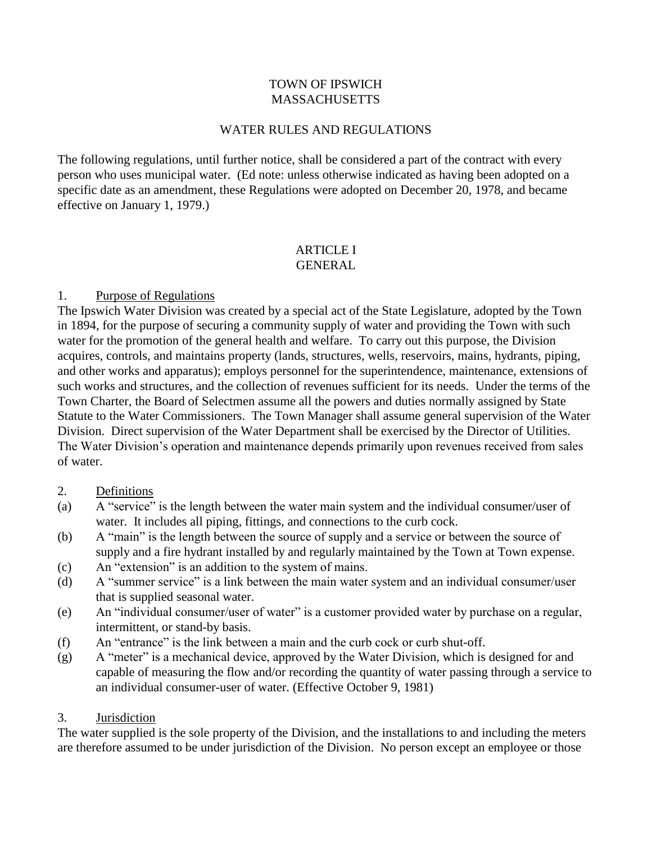#### TOWN OF IPSWICH MASSACHUSETTS

#### WATER RULES AND REGULATIONS

The following regulations, until further notice, shall be considered a part of the contract with every person who uses municipal water. (Ed note: unless otherwise indicated as having been adopted on a specific date as an amendment, these Regulations were adopted on December 20, 1978, and became effective on January 1, 1979.)

#### ARTICLE I **GENERAL**

#### 1. Purpose of Regulations

The Ipswich Water Division was created by a special act of the State Legislature, adopted by the Town in 1894, for the purpose of securing a community supply of water and providing the Town with such water for the promotion of the general health and welfare. To carry out this purpose, the Division acquires, controls, and maintains property (lands, structures, wells, reservoirs, mains, hydrants, piping, and other works and apparatus); employs personnel for the superintendence, maintenance, extensions of such works and structures, and the collection of revenues sufficient for its needs. Under the terms of the Town Charter, the Board of Selectmen assume all the powers and duties normally assigned by State Statute to the Water Commissioners. The Town Manager shall assume general supervision of the Water Division. Direct supervision of the Water Department shall be exercised by the Director of Utilities. The Water Division's operation and maintenance depends primarily upon revenues received from sales of water.

#### 2. Definitions

- (a) A "service" is the length between the water main system and the individual consumer/user of water. It includes all piping, fittings, and connections to the curb cock.
- (b) A "main" is the length between the source of supply and a service or between the source of supply and a fire hydrant installed by and regularly maintained by the Town at Town expense.
- (c) An "extension" is an addition to the system of mains.
- (d) A "summer service" is a link between the main water system and an individual consumer/user that is supplied seasonal water.
- (e) An "individual consumer/user of water" is a customer provided water by purchase on a regular, intermittent, or stand-by basis.
- (f) An "entrance" is the link between a main and the curb cock or curb shut-off.
- (g) A "meter" is a mechanical device, approved by the Water Division, which is designed for and capable of measuring the flow and/or recording the quantity of water passing through a service to an individual consumer-user of water. (Effective October 9, 1981)

#### 3. Jurisdiction

The water supplied is the sole property of the Division, and the installations to and including the meters are therefore assumed to be under jurisdiction of the Division. No person except an employee or those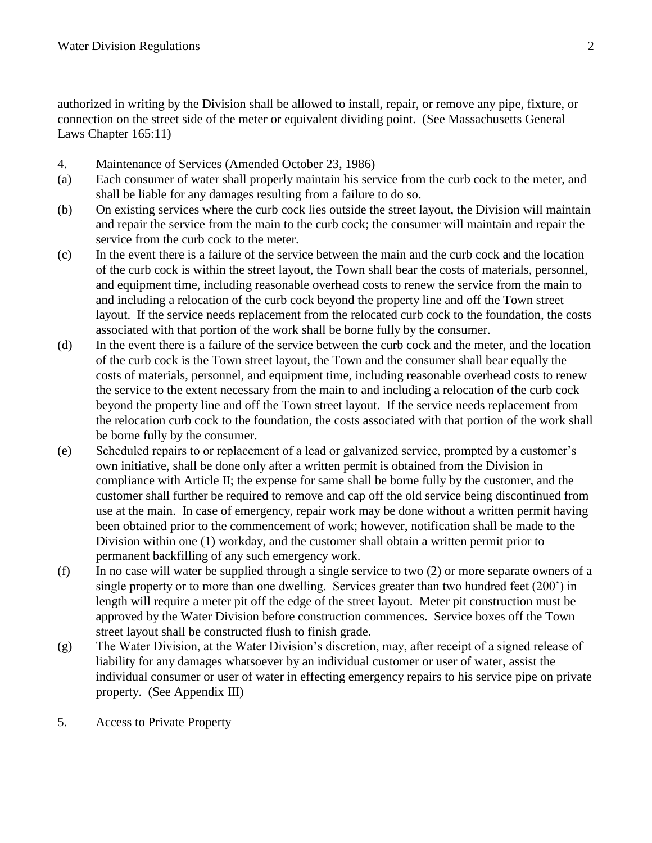authorized in writing by the Division shall be allowed to install, repair, or remove any pipe, fixture, or connection on the street side of the meter or equivalent dividing point. (See Massachusetts General Laws Chapter 165:11)

- 4. Maintenance of Services (Amended October 23, 1986)
- (a) Each consumer of water shall properly maintain his service from the curb cock to the meter, and shall be liable for any damages resulting from a failure to do so.
- (b) On existing services where the curb cock lies outside the street layout, the Division will maintain and repair the service from the main to the curb cock; the consumer will maintain and repair the service from the curb cock to the meter.
- (c) In the event there is a failure of the service between the main and the curb cock and the location of the curb cock is within the street layout, the Town shall bear the costs of materials, personnel, and equipment time, including reasonable overhead costs to renew the service from the main to and including a relocation of the curb cock beyond the property line and off the Town street layout. If the service needs replacement from the relocated curb cock to the foundation, the costs associated with that portion of the work shall be borne fully by the consumer.
- (d) In the event there is a failure of the service between the curb cock and the meter, and the location of the curb cock is the Town street layout, the Town and the consumer shall bear equally the costs of materials, personnel, and equipment time, including reasonable overhead costs to renew the service to the extent necessary from the main to and including a relocation of the curb cock beyond the property line and off the Town street layout. If the service needs replacement from the relocation curb cock to the foundation, the costs associated with that portion of the work shall be borne fully by the consumer.
- (e) Scheduled repairs to or replacement of a lead or galvanized service, prompted by a customer's own initiative, shall be done only after a written permit is obtained from the Division in compliance with Article II; the expense for same shall be borne fully by the customer, and the customer shall further be required to remove and cap off the old service being discontinued from use at the main. In case of emergency, repair work may be done without a written permit having been obtained prior to the commencement of work; however, notification shall be made to the Division within one (1) workday, and the customer shall obtain a written permit prior to permanent backfilling of any such emergency work.
- (f) In no case will water be supplied through a single service to two (2) or more separate owners of a single property or to more than one dwelling. Services greater than two hundred feet (200') in length will require a meter pit off the edge of the street layout. Meter pit construction must be approved by the Water Division before construction commences. Service boxes off the Town street layout shall be constructed flush to finish grade.
- (g) The Water Division, at the Water Division's discretion, may, after receipt of a signed release of liability for any damages whatsoever by an individual customer or user of water, assist the individual consumer or user of water in effecting emergency repairs to his service pipe on private property. (See Appendix III)
- 5. Access to Private Property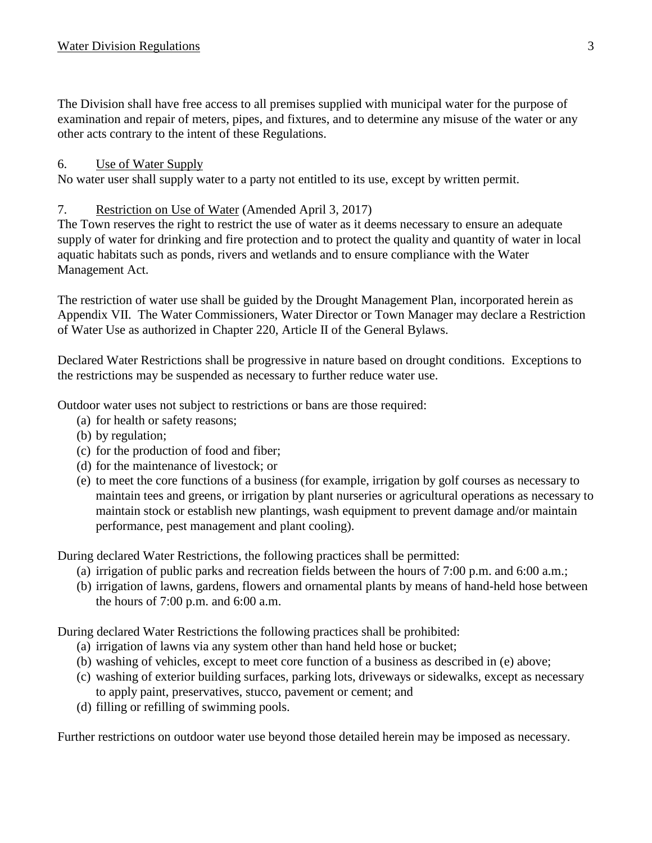The Division shall have free access to all premises supplied with municipal water for the purpose of examination and repair of meters, pipes, and fixtures, and to determine any misuse of the water or any other acts contrary to the intent of these Regulations.

## 6. Use of Water Supply

No water user shall supply water to a party not entitled to its use, except by written permit.

## 7. Restriction on Use of Water (Amended April 3, 2017)

The Town reserves the right to restrict the use of water as it deems necessary to ensure an adequate supply of water for drinking and fire protection and to protect the quality and quantity of water in local aquatic habitats such as ponds, rivers and wetlands and to ensure compliance with the Water Management Act.

The restriction of water use shall be guided by the Drought Management Plan, incorporated herein as Appendix VII. The Water Commissioners, Water Director or Town Manager may declare a Restriction of Water Use as authorized in Chapter 220, Article II of the General Bylaws.

Declared Water Restrictions shall be progressive in nature based on drought conditions. Exceptions to the restrictions may be suspended as necessary to further reduce water use.

Outdoor water uses not subject to restrictions or bans are those required:

- (a) for health or safety reasons;
- (b) by regulation;
- (c) for the production of food and fiber;
- (d) for the maintenance of livestock; or
- (e) to meet the core functions of a business (for example, irrigation by golf courses as necessary to maintain tees and greens, or irrigation by plant nurseries or agricultural operations as necessary to maintain stock or establish new plantings, wash equipment to prevent damage and/or maintain performance, pest management and plant cooling).

During declared Water Restrictions, the following practices shall be permitted:

- (a) irrigation of public parks and recreation fields between the hours of 7:00 p.m. and 6:00 a.m.;
- (b) irrigation of lawns, gardens, flowers and ornamental plants by means of hand-held hose between the hours of 7:00 p.m. and 6:00 a.m.

During declared Water Restrictions the following practices shall be prohibited:

- (a) irrigation of lawns via any system other than hand held hose or bucket;
- (b) washing of vehicles, except to meet core function of a business as described in (e) above;
- (c) washing of exterior building surfaces, parking lots, driveways or sidewalks, except as necessary to apply paint, preservatives, stucco, pavement or cement; and
- (d) filling or refilling of swimming pools.

Further restrictions on outdoor water use beyond those detailed herein may be imposed as necessary.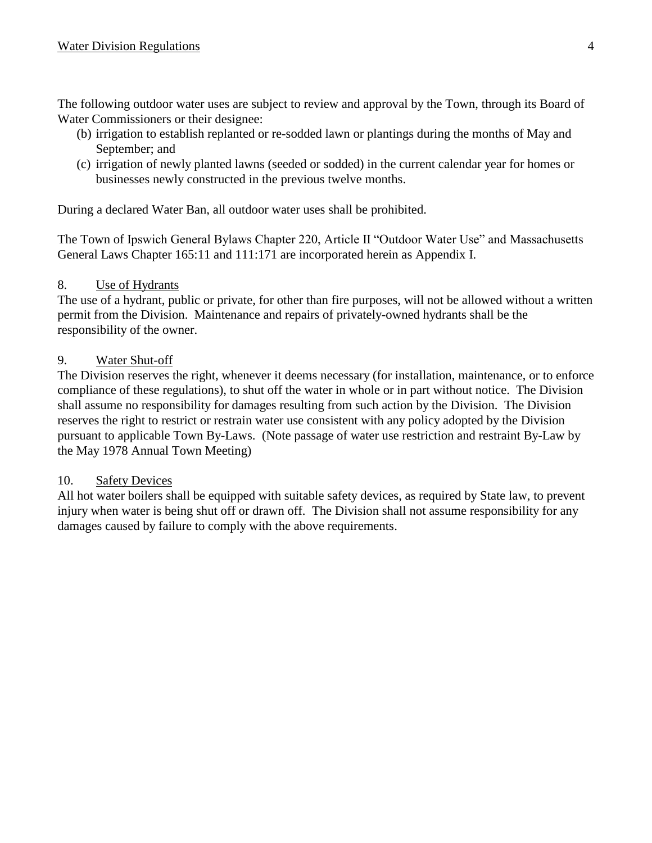The following outdoor water uses are subject to review and approval by the Town, through its Board of Water Commissioners or their designee:

- (b) irrigation to establish replanted or re-sodded lawn or plantings during the months of May and September; and
- (c) irrigation of newly planted lawns (seeded or sodded) in the current calendar year for homes or businesses newly constructed in the previous twelve months.

During a declared Water Ban, all outdoor water uses shall be prohibited.

The Town of Ipswich General Bylaws Chapter 220, Article II "Outdoor Water Use" and Massachusetts General Laws Chapter 165:11 and 111:171 are incorporated herein as Appendix I.

#### 8. Use of Hydrants

The use of a hydrant, public or private, for other than fire purposes, will not be allowed without a written permit from the Division. Maintenance and repairs of privately-owned hydrants shall be the responsibility of the owner.

#### 9. Water Shut-off

The Division reserves the right, whenever it deems necessary (for installation, maintenance, or to enforce compliance of these regulations), to shut off the water in whole or in part without notice. The Division shall assume no responsibility for damages resulting from such action by the Division. The Division reserves the right to restrict or restrain water use consistent with any policy adopted by the Division pursuant to applicable Town By-Laws. (Note passage of water use restriction and restraint By-Law by the May 1978 Annual Town Meeting)

#### 10. Safety Devices

All hot water boilers shall be equipped with suitable safety devices, as required by State law, to prevent injury when water is being shut off or drawn off. The Division shall not assume responsibility for any damages caused by failure to comply with the above requirements.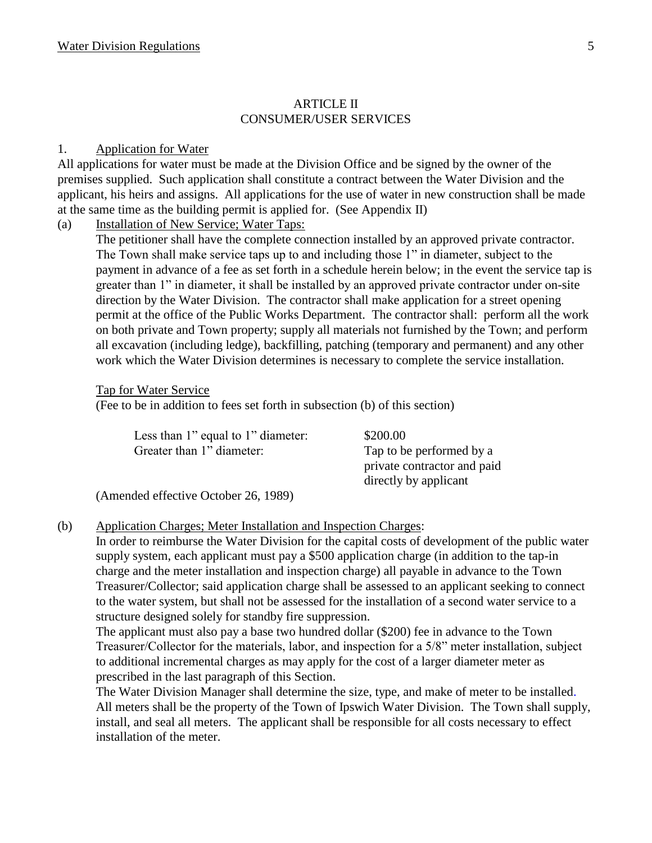#### ARTICLE II CONSUMER/USER SERVICES

#### 1. Application for Water

All applications for water must be made at the Division Office and be signed by the owner of the premises supplied. Such application shall constitute a contract between the Water Division and the applicant, his heirs and assigns. All applications for the use of water in new construction shall be made at the same time as the building permit is applied for. (See Appendix II)

(a) Installation of New Service; Water Taps:

The petitioner shall have the complete connection installed by an approved private contractor. The Town shall make service taps up to and including those 1" in diameter, subject to the payment in advance of a fee as set forth in a schedule herein below; in the event the service tap is greater than 1" in diameter, it shall be installed by an approved private contractor under on-site direction by the Water Division. The contractor shall make application for a street opening permit at the office of the Public Works Department. The contractor shall: perform all the work on both private and Town property; supply all materials not furnished by the Town; and perform all excavation (including ledge), backfilling, patching (temporary and permanent) and any other work which the Water Division determines is necessary to complete the service installation.

#### Tap for Water Service

(Fee to be in addition to fees set forth in subsection (b) of this section)

| Less than 1" equal to 1" diameter:   | \$200.00                    |
|--------------------------------------|-----------------------------|
| Greater than 1" diameter:            | Tap to be performed by a    |
|                                      | private contractor and paid |
|                                      | directly by applicant       |
| (Amended effective October 26, 1989) |                             |

(b) Application Charges; Meter Installation and Inspection Charges:

In order to reimburse the Water Division for the capital costs of development of the public water supply system, each applicant must pay a \$500 application charge (in addition to the tap-in charge and the meter installation and inspection charge) all payable in advance to the Town Treasurer/Collector; said application charge shall be assessed to an applicant seeking to connect to the water system, but shall not be assessed for the installation of a second water service to a structure designed solely for standby fire suppression.

The applicant must also pay a base two hundred dollar (\$200) fee in advance to the Town Treasurer/Collector for the materials, labor, and inspection for a 5/8" meter installation, subject to additional incremental charges as may apply for the cost of a larger diameter meter as prescribed in the last paragraph of this Section.

The Water Division Manager shall determine the size, type, and make of meter to be installed. All meters shall be the property of the Town of Ipswich Water Division. The Town shall supply, install, and seal all meters. The applicant shall be responsible for all costs necessary to effect installation of the meter.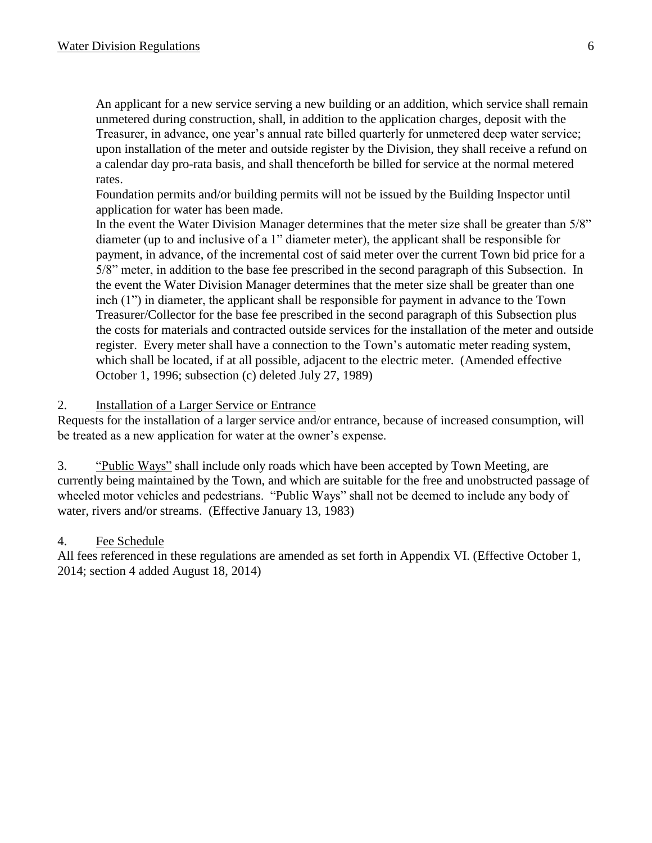An applicant for a new service serving a new building or an addition, which service shall remain unmetered during construction, shall, in addition to the application charges, deposit with the Treasurer, in advance, one year's annual rate billed quarterly for unmetered deep water service; upon installation of the meter and outside register by the Division, they shall receive a refund on a calendar day pro-rata basis, and shall thenceforth be billed for service at the normal metered rates.

Foundation permits and/or building permits will not be issued by the Building Inspector until application for water has been made.

In the event the Water Division Manager determines that the meter size shall be greater than 5/8" diameter (up to and inclusive of a 1" diameter meter), the applicant shall be responsible for payment, in advance, of the incremental cost of said meter over the current Town bid price for a 5/8" meter, in addition to the base fee prescribed in the second paragraph of this Subsection. In the event the Water Division Manager determines that the meter size shall be greater than one inch (1") in diameter, the applicant shall be responsible for payment in advance to the Town Treasurer/Collector for the base fee prescribed in the second paragraph of this Subsection plus the costs for materials and contracted outside services for the installation of the meter and outside register. Every meter shall have a connection to the Town's automatic meter reading system, which shall be located, if at all possible, adjacent to the electric meter. (Amended effective October 1, 1996; subsection (c) deleted July 27, 1989)

#### 2. Installation of a Larger Service or Entrance

Requests for the installation of a larger service and/or entrance, because of increased consumption, will be treated as a new application for water at the owner's expense.

3. "Public Ways" shall include only roads which have been accepted by Town Meeting, are currently being maintained by the Town, and which are suitable for the free and unobstructed passage of wheeled motor vehicles and pedestrians. "Public Ways" shall not be deemed to include any body of water, rivers and/or streams. (Effective January 13, 1983)

#### 4. Fee Schedule

All fees referenced in these regulations are amended as set forth in Appendix VI. (Effective October 1, 2014; section 4 added August 18, 2014)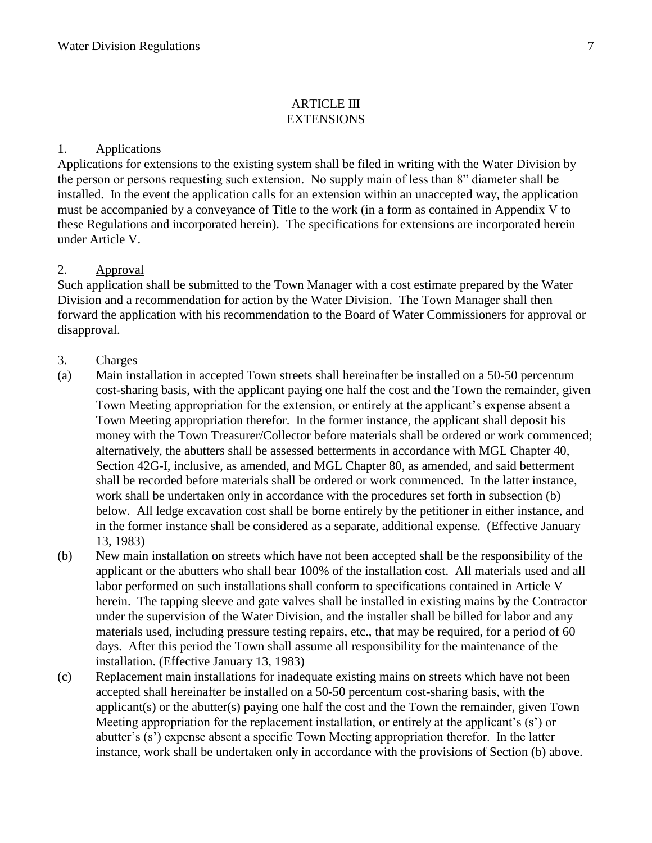#### ARTICLE III **EXTENSIONS**

#### 1. Applications

Applications for extensions to the existing system shall be filed in writing with the Water Division by the person or persons requesting such extension. No supply main of less than 8" diameter shall be installed. In the event the application calls for an extension within an unaccepted way, the application must be accompanied by a conveyance of Title to the work (in a form as contained in Appendix V to these Regulations and incorporated herein). The specifications for extensions are incorporated herein under Article V.

#### 2. Approval

Such application shall be submitted to the Town Manager with a cost estimate prepared by the Water Division and a recommendation for action by the Water Division. The Town Manager shall then forward the application with his recommendation to the Board of Water Commissioners for approval or disapproval.

#### 3. Charges

- (a) Main installation in accepted Town streets shall hereinafter be installed on a 50-50 percentum cost-sharing basis, with the applicant paying one half the cost and the Town the remainder, given Town Meeting appropriation for the extension, or entirely at the applicant's expense absent a Town Meeting appropriation therefor. In the former instance, the applicant shall deposit his money with the Town Treasurer/Collector before materials shall be ordered or work commenced; alternatively, the abutters shall be assessed betterments in accordance with MGL Chapter 40, Section 42G-I, inclusive, as amended, and MGL Chapter 80, as amended, and said betterment shall be recorded before materials shall be ordered or work commenced. In the latter instance, work shall be undertaken only in accordance with the procedures set forth in subsection (b) below. All ledge excavation cost shall be borne entirely by the petitioner in either instance, and in the former instance shall be considered as a separate, additional expense. (Effective January 13, 1983)
- (b) New main installation on streets which have not been accepted shall be the responsibility of the applicant or the abutters who shall bear 100% of the installation cost. All materials used and all labor performed on such installations shall conform to specifications contained in Article V herein. The tapping sleeve and gate valves shall be installed in existing mains by the Contractor under the supervision of the Water Division, and the installer shall be billed for labor and any materials used, including pressure testing repairs, etc., that may be required, for a period of 60 days. After this period the Town shall assume all responsibility for the maintenance of the installation. (Effective January 13, 1983)
- (c) Replacement main installations for inadequate existing mains on streets which have not been accepted shall hereinafter be installed on a 50-50 percentum cost-sharing basis, with the applicant(s) or the abutter(s) paying one half the cost and the Town the remainder, given Town Meeting appropriation for the replacement installation, or entirely at the applicant's (s') or abutter's (s') expense absent a specific Town Meeting appropriation therefor. In the latter instance, work shall be undertaken only in accordance with the provisions of Section (b) above.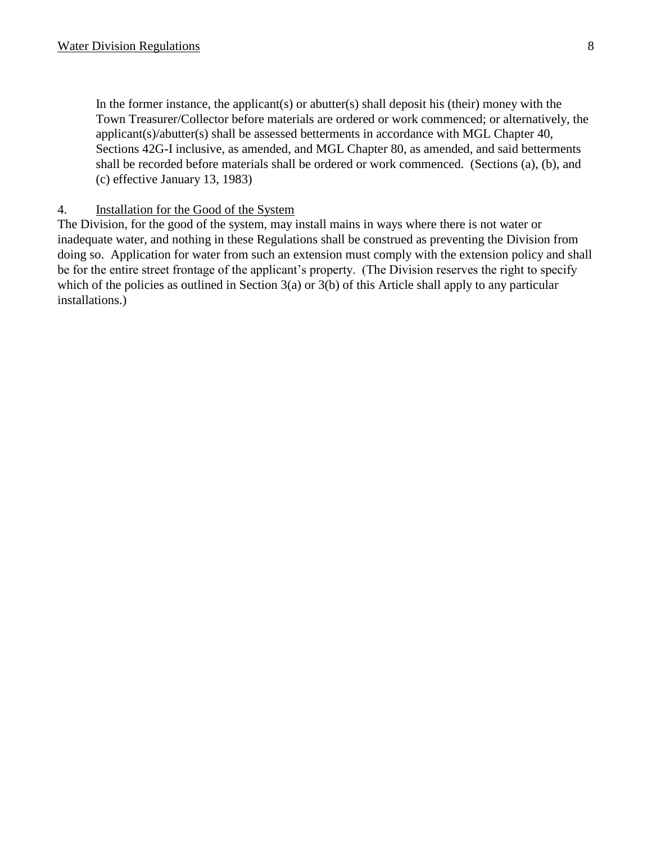In the former instance, the applicant(s) or abutter(s) shall deposit his (their) money with the Town Treasurer/Collector before materials are ordered or work commenced; or alternatively, the applicant(s)/abutter(s) shall be assessed betterments in accordance with MGL Chapter 40, Sections 42G-I inclusive, as amended, and MGL Chapter 80, as amended, and said betterments shall be recorded before materials shall be ordered or work commenced. (Sections (a), (b), and (c) effective January 13, 1983)

#### 4. Installation for the Good of the System

The Division, for the good of the system, may install mains in ways where there is not water or inadequate water, and nothing in these Regulations shall be construed as preventing the Division from doing so. Application for water from such an extension must comply with the extension policy and shall be for the entire street frontage of the applicant's property. (The Division reserves the right to specify which of the policies as outlined in Section 3(a) or 3(b) of this Article shall apply to any particular installations.)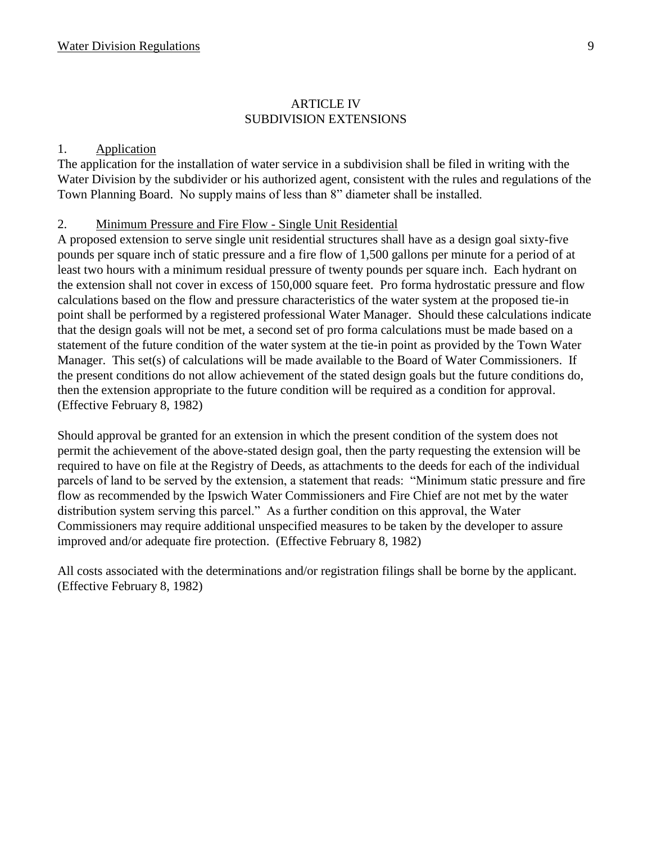#### ARTICLE IV SUBDIVISION EXTENSIONS

#### 1. Application

The application for the installation of water service in a subdivision shall be filed in writing with the Water Division by the subdivider or his authorized agent, consistent with the rules and regulations of the Town Planning Board. No supply mains of less than 8" diameter shall be installed.

#### 2. Minimum Pressure and Fire Flow - Single Unit Residential

A proposed extension to serve single unit residential structures shall have as a design goal sixty-five pounds per square inch of static pressure and a fire flow of 1,500 gallons per minute for a period of at least two hours with a minimum residual pressure of twenty pounds per square inch. Each hydrant on the extension shall not cover in excess of 150,000 square feet. Pro forma hydrostatic pressure and flow calculations based on the flow and pressure characteristics of the water system at the proposed tie-in point shall be performed by a registered professional Water Manager. Should these calculations indicate that the design goals will not be met, a second set of pro forma calculations must be made based on a statement of the future condition of the water system at the tie-in point as provided by the Town Water Manager. This set(s) of calculations will be made available to the Board of Water Commissioners. If the present conditions do not allow achievement of the stated design goals but the future conditions do, then the extension appropriate to the future condition will be required as a condition for approval. (Effective February 8, 1982)

Should approval be granted for an extension in which the present condition of the system does not permit the achievement of the above-stated design goal, then the party requesting the extension will be required to have on file at the Registry of Deeds, as attachments to the deeds for each of the individual parcels of land to be served by the extension, a statement that reads: "Minimum static pressure and fire flow as recommended by the Ipswich Water Commissioners and Fire Chief are not met by the water distribution system serving this parcel." As a further condition on this approval, the Water Commissioners may require additional unspecified measures to be taken by the developer to assure improved and/or adequate fire protection. (Effective February 8, 1982)

All costs associated with the determinations and/or registration filings shall be borne by the applicant. (Effective February 8, 1982)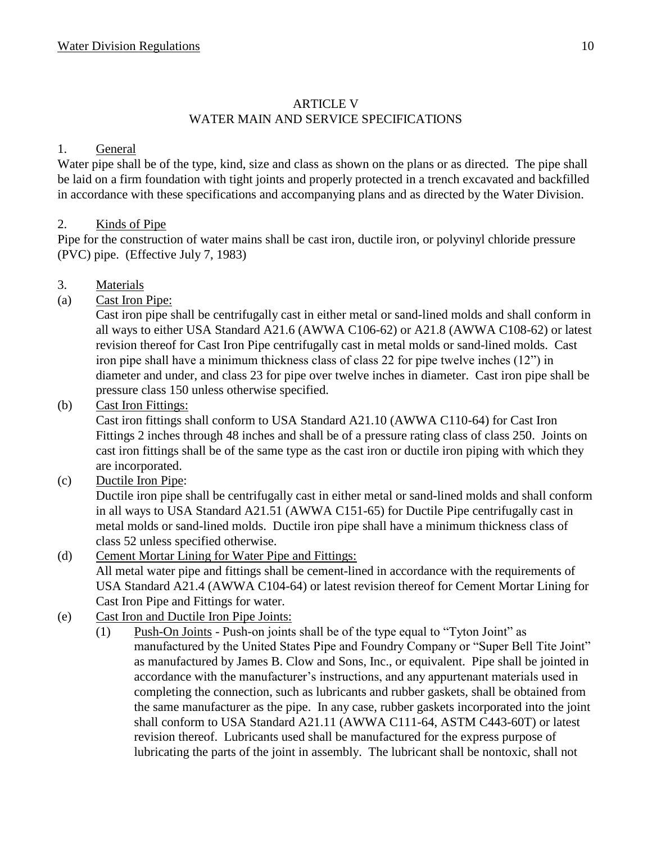# ARTICLE V WATER MAIN AND SERVICE SPECIFICATIONS

## 1. General

Water pipe shall be of the type, kind, size and class as shown on the plans or as directed. The pipe shall be laid on a firm foundation with tight joints and properly protected in a trench excavated and backfilled in accordance with these specifications and accompanying plans and as directed by the Water Division.

## 2. Kinds of Pipe

Pipe for the construction of water mains shall be cast iron, ductile iron, or polyvinyl chloride pressure (PVC) pipe. (Effective July 7, 1983)

- 3. Materials
- (a) Cast Iron Pipe:

Cast iron pipe shall be centrifugally cast in either metal or sand-lined molds and shall conform in all ways to either USA Standard A21.6 (AWWA C106-62) or A21.8 (AWWA C108-62) or latest revision thereof for Cast Iron Pipe centrifugally cast in metal molds or sand-lined molds. Cast iron pipe shall have a minimum thickness class of class 22 for pipe twelve inches (12") in diameter and under, and class 23 for pipe over twelve inches in diameter. Cast iron pipe shall be pressure class 150 unless otherwise specified.

(b) Cast Iron Fittings:

Cast iron fittings shall conform to USA Standard A21.10 (AWWA C110-64) for Cast Iron Fittings 2 inches through 48 inches and shall be of a pressure rating class of class 250. Joints on cast iron fittings shall be of the same type as the cast iron or ductile iron piping with which they are incorporated.

(c) Ductile Iron Pipe:

Ductile iron pipe shall be centrifugally cast in either metal or sand-lined molds and shall conform in all ways to USA Standard A21.51 (AWWA C151-65) for Ductile Pipe centrifugally cast in metal molds or sand-lined molds. Ductile iron pipe shall have a minimum thickness class of class 52 unless specified otherwise.

- (d) Cement Mortar Lining for Water Pipe and Fittings: All metal water pipe and fittings shall be cement-lined in accordance with the requirements of USA Standard A21.4 (AWWA C104-64) or latest revision thereof for Cement Mortar Lining for Cast Iron Pipe and Fittings for water.
- (e) Cast Iron and Ductile Iron Pipe Joints:
	- (1) Push-On Joints Push-on joints shall be of the type equal to "Tyton Joint" as manufactured by the United States Pipe and Foundry Company or "Super Bell Tite Joint" as manufactured by James B. Clow and Sons, Inc., or equivalent. Pipe shall be jointed in accordance with the manufacturer's instructions, and any appurtenant materials used in completing the connection, such as lubricants and rubber gaskets, shall be obtained from the same manufacturer as the pipe. In any case, rubber gaskets incorporated into the joint shall conform to USA Standard A21.11 (AWWA C111-64, ASTM C443-60T) or latest revision thereof. Lubricants used shall be manufactured for the express purpose of lubricating the parts of the joint in assembly. The lubricant shall be nontoxic, shall not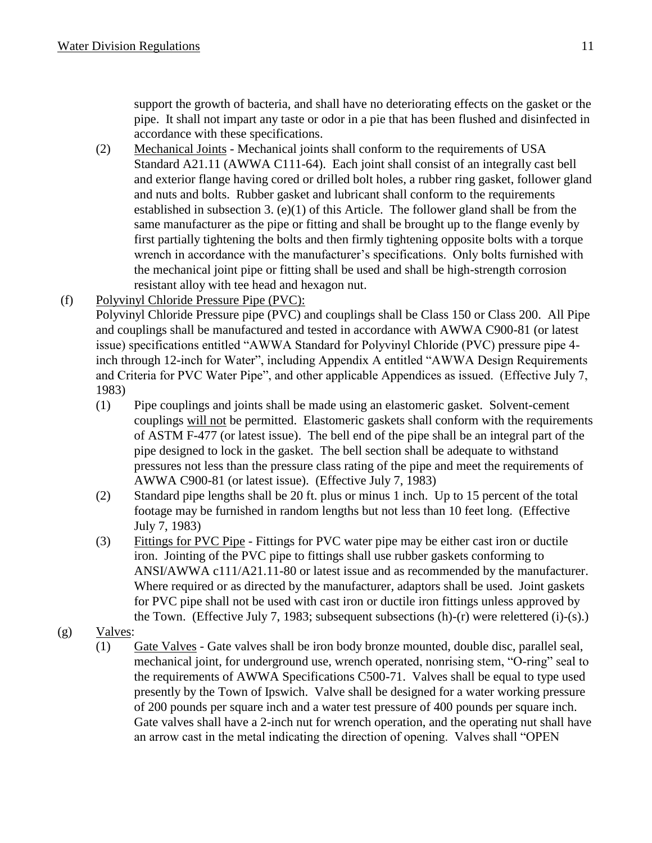support the growth of bacteria, and shall have no deteriorating effects on the gasket or the pipe. It shall not impart any taste or odor in a pie that has been flushed and disinfected in accordance with these specifications.

- (2) Mechanical Joints Mechanical joints shall conform to the requirements of USA Standard A21.11 (AWWA C111-64). Each joint shall consist of an integrally cast bell and exterior flange having cored or drilled bolt holes, a rubber ring gasket, follower gland and nuts and bolts. Rubber gasket and lubricant shall conform to the requirements established in subsection 3. (e)(1) of this Article. The follower gland shall be from the same manufacturer as the pipe or fitting and shall be brought up to the flange evenly by first partially tightening the bolts and then firmly tightening opposite bolts with a torque wrench in accordance with the manufacturer's specifications. Only bolts furnished with the mechanical joint pipe or fitting shall be used and shall be high-strength corrosion resistant alloy with tee head and hexagon nut.
- (f) Polyvinyl Chloride Pressure Pipe (PVC): Polyvinyl Chloride Pressure pipe (PVC) and couplings shall be Class 150 or Class 200. All Pipe and couplings shall be manufactured and tested in accordance with AWWA C900-81 (or latest issue) specifications entitled "AWWA Standard for Polyvinyl Chloride (PVC) pressure pipe 4 inch through 12-inch for Water", including Appendix A entitled "AWWA Design Requirements and Criteria for PVC Water Pipe", and other applicable Appendices as issued. (Effective July 7,
	- 1983)
	- (1) Pipe couplings and joints shall be made using an elastomeric gasket. Solvent-cement couplings will not be permitted. Elastomeric gaskets shall conform with the requirements of ASTM F-477 (or latest issue). The bell end of the pipe shall be an integral part of the pipe designed to lock in the gasket. The bell section shall be adequate to withstand pressures not less than the pressure class rating of the pipe and meet the requirements of AWWA C900-81 (or latest issue). (Effective July 7, 1983)
	- (2) Standard pipe lengths shall be 20 ft. plus or minus 1 inch. Up to 15 percent of the total footage may be furnished in random lengths but not less than 10 feet long. (Effective July 7, 1983)
	- (3) Fittings for PVC Pipe Fittings for PVC water pipe may be either cast iron or ductile iron. Jointing of the PVC pipe to fittings shall use rubber gaskets conforming to ANSI/AWWA c111/A21.11-80 or latest issue and as recommended by the manufacturer. Where required or as directed by the manufacturer, adaptors shall be used. Joint gaskets for PVC pipe shall not be used with cast iron or ductile iron fittings unless approved by the Town. (Effective July 7, 1983; subsequent subsections (h)-(r) were relettered (i)-(s).)
- (g) Valves:
	- (1) Gate Valves Gate valves shall be iron body bronze mounted, double disc, parallel seal, mechanical joint, for underground use, wrench operated, nonrising stem, "O-ring" seal to the requirements of AWWA Specifications C500-71. Valves shall be equal to type used presently by the Town of Ipswich. Valve shall be designed for a water working pressure of 200 pounds per square inch and a water test pressure of 400 pounds per square inch. Gate valves shall have a 2-inch nut for wrench operation, and the operating nut shall have an arrow cast in the metal indicating the direction of opening. Valves shall "OPEN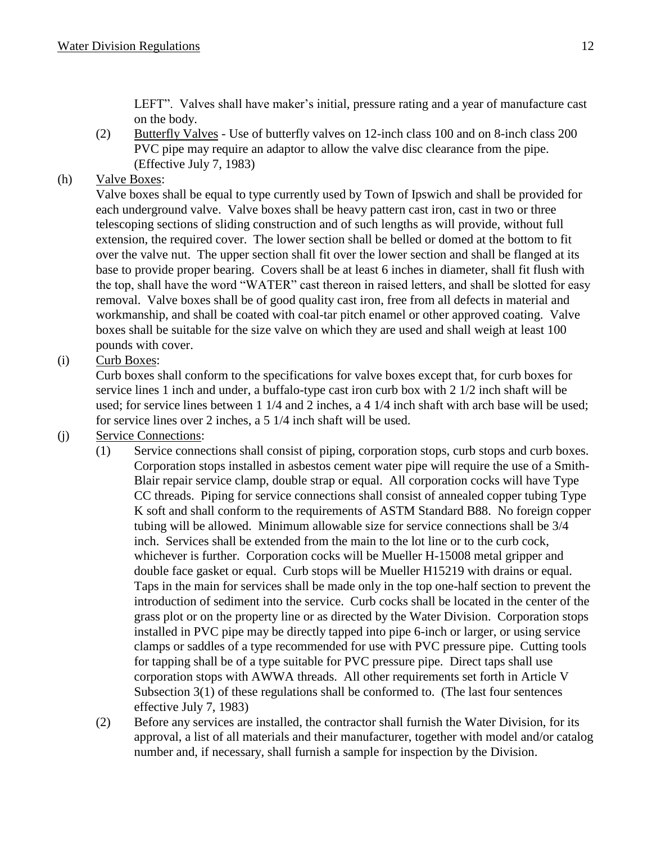LEFT". Valves shall have maker's initial, pressure rating and a year of manufacture cast on the body.

(2) Butterfly Valves - Use of butterfly valves on 12-inch class 100 and on 8-inch class 200 PVC pipe may require an adaptor to allow the valve disc clearance from the pipe. (Effective July 7, 1983)

# (h) Valve Boxes:

Valve boxes shall be equal to type currently used by Town of Ipswich and shall be provided for each underground valve. Valve boxes shall be heavy pattern cast iron, cast in two or three telescoping sections of sliding construction and of such lengths as will provide, without full extension, the required cover. The lower section shall be belled or domed at the bottom to fit over the valve nut. The upper section shall fit over the lower section and shall be flanged at its base to provide proper bearing. Covers shall be at least 6 inches in diameter, shall fit flush with the top, shall have the word "WATER" cast thereon in raised letters, and shall be slotted for easy removal. Valve boxes shall be of good quality cast iron, free from all defects in material and workmanship, and shall be coated with coal-tar pitch enamel or other approved coating. Valve boxes shall be suitable for the size valve on which they are used and shall weigh at least 100 pounds with cover.

# (i) Curb Boxes:

Curb boxes shall conform to the specifications for valve boxes except that, for curb boxes for service lines 1 inch and under, a buffalo-type cast iron curb box with 2 1/2 inch shaft will be used; for service lines between 1 1/4 and 2 inches, a 4 1/4 inch shaft with arch base will be used; for service lines over 2 inches, a 5 1/4 inch shaft will be used.

# (j) Service Connections:

- (1) Service connections shall consist of piping, corporation stops, curb stops and curb boxes. Corporation stops installed in asbestos cement water pipe will require the use of a Smith-Blair repair service clamp, double strap or equal. All corporation cocks will have Type CC threads. Piping for service connections shall consist of annealed copper tubing Type K soft and shall conform to the requirements of ASTM Standard B88. No foreign copper tubing will be allowed. Minimum allowable size for service connections shall be 3/4 inch. Services shall be extended from the main to the lot line or to the curb cock, whichever is further. Corporation cocks will be Mueller H-15008 metal gripper and double face gasket or equal. Curb stops will be Mueller H15219 with drains or equal. Taps in the main for services shall be made only in the top one-half section to prevent the introduction of sediment into the service. Curb cocks shall be located in the center of the grass plot or on the property line or as directed by the Water Division. Corporation stops installed in PVC pipe may be directly tapped into pipe 6-inch or larger, or using service clamps or saddles of a type recommended for use with PVC pressure pipe. Cutting tools for tapping shall be of a type suitable for PVC pressure pipe. Direct taps shall use corporation stops with AWWA threads. All other requirements set forth in Article V Subsection 3(1) of these regulations shall be conformed to. (The last four sentences effective July 7, 1983)
- (2) Before any services are installed, the contractor shall furnish the Water Division, for its approval, a list of all materials and their manufacturer, together with model and/or catalog number and, if necessary, shall furnish a sample for inspection by the Division.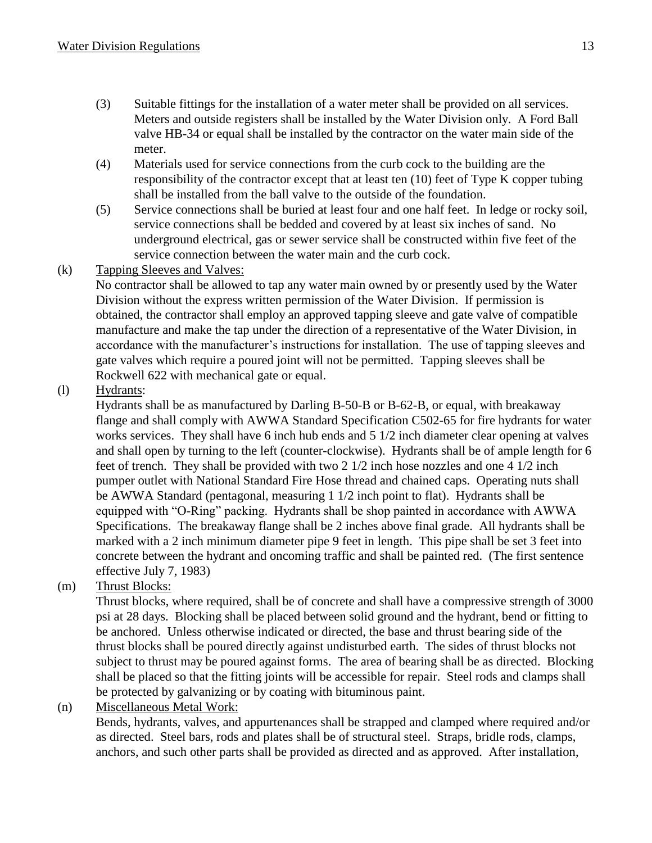- (3) Suitable fittings for the installation of a water meter shall be provided on all services. Meters and outside registers shall be installed by the Water Division only. A Ford Ball valve HB-34 or equal shall be installed by the contractor on the water main side of the meter.
- (4) Materials used for service connections from the curb cock to the building are the responsibility of the contractor except that at least ten (10) feet of Type K copper tubing shall be installed from the ball valve to the outside of the foundation.
- (5) Service connections shall be buried at least four and one half feet. In ledge or rocky soil, service connections shall be bedded and covered by at least six inches of sand. No underground electrical, gas or sewer service shall be constructed within five feet of the service connection between the water main and the curb cock.
- (k) Tapping Sleeves and Valves:

No contractor shall be allowed to tap any water main owned by or presently used by the Water Division without the express written permission of the Water Division. If permission is obtained, the contractor shall employ an approved tapping sleeve and gate valve of compatible manufacture and make the tap under the direction of a representative of the Water Division, in accordance with the manufacturer's instructions for installation. The use of tapping sleeves and gate valves which require a poured joint will not be permitted. Tapping sleeves shall be Rockwell 622 with mechanical gate or equal.

(l) Hydrants:

Hydrants shall be as manufactured by Darling B-50-B or B-62-B, or equal, with breakaway flange and shall comply with AWWA Standard Specification C502-65 for fire hydrants for water works services. They shall have 6 inch hub ends and 5 1/2 inch diameter clear opening at valves and shall open by turning to the left (counter-clockwise). Hydrants shall be of ample length for 6 feet of trench. They shall be provided with two 2 1/2 inch hose nozzles and one 4 1/2 inch pumper outlet with National Standard Fire Hose thread and chained caps. Operating nuts shall be AWWA Standard (pentagonal, measuring 1 1/2 inch point to flat). Hydrants shall be equipped with "O-Ring" packing. Hydrants shall be shop painted in accordance with AWWA Specifications. The breakaway flange shall be 2 inches above final grade. All hydrants shall be marked with a 2 inch minimum diameter pipe 9 feet in length. This pipe shall be set 3 feet into concrete between the hydrant and oncoming traffic and shall be painted red. (The first sentence effective July 7, 1983)

(m) Thrust Blocks:

Thrust blocks, where required, shall be of concrete and shall have a compressive strength of 3000 psi at 28 days. Blocking shall be placed between solid ground and the hydrant, bend or fitting to be anchored. Unless otherwise indicated or directed, the base and thrust bearing side of the thrust blocks shall be poured directly against undisturbed earth. The sides of thrust blocks not subject to thrust may be poured against forms. The area of bearing shall be as directed. Blocking shall be placed so that the fitting joints will be accessible for repair. Steel rods and clamps shall be protected by galvanizing or by coating with bituminous paint.

(n) Miscellaneous Metal Work:

Bends, hydrants, valves, and appurtenances shall be strapped and clamped where required and/or as directed. Steel bars, rods and plates shall be of structural steel. Straps, bridle rods, clamps, anchors, and such other parts shall be provided as directed and as approved. After installation,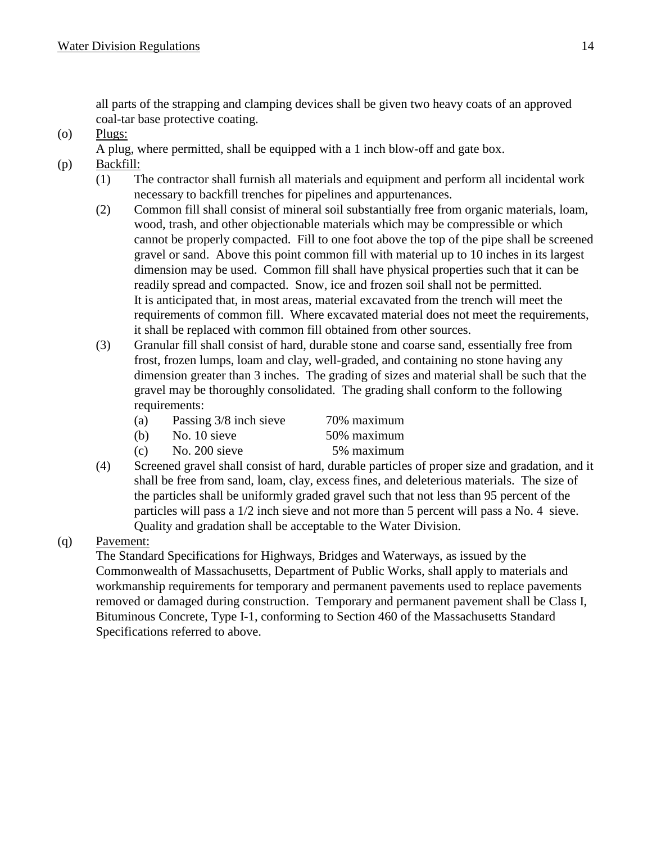all parts of the strapping and clamping devices shall be given two heavy coats of an approved coal-tar base protective coating.

(o) Plugs:

A plug, where permitted, shall be equipped with a 1 inch blow-off and gate box.

- (p) Backfill:
	- (1) The contractor shall furnish all materials and equipment and perform all incidental work necessary to backfill trenches for pipelines and appurtenances.
	- (2) Common fill shall consist of mineral soil substantially free from organic materials, loam, wood, trash, and other objectionable materials which may be compressible or which cannot be properly compacted. Fill to one foot above the top of the pipe shall be screened gravel or sand. Above this point common fill with material up to 10 inches in its largest dimension may be used. Common fill shall have physical properties such that it can be readily spread and compacted. Snow, ice and frozen soil shall not be permitted. It is anticipated that, in most areas, material excavated from the trench will meet the requirements of common fill. Where excavated material does not meet the requirements, it shall be replaced with common fill obtained from other sources.
	- (3) Granular fill shall consist of hard, durable stone and coarse sand, essentially free from frost, frozen lumps, loam and clay, well-graded, and containing no stone having any dimension greater than 3 inches. The grading of sizes and material shall be such that the gravel may be thoroughly consolidated. The grading shall conform to the following requirements:
		- (a) Passing 3/8 inch sieve 70% maximum
		- (b) No. 10 sieve  $50\%$  maximum
		- (c) No.  $200$  sieve  $5\%$  maximum
	- (4) Screened gravel shall consist of hard, durable particles of proper size and gradation, and it shall be free from sand, loam, clay, excess fines, and deleterious materials. The size of the particles shall be uniformly graded gravel such that not less than 95 percent of the particles will pass a 1/2 inch sieve and not more than 5 percent will pass a No. 4 sieve. Quality and gradation shall be acceptable to the Water Division.

(q) Pavement:

The Standard Specifications for Highways, Bridges and Waterways, as issued by the Commonwealth of Massachusetts, Department of Public Works, shall apply to materials and workmanship requirements for temporary and permanent pavements used to replace pavements removed or damaged during construction. Temporary and permanent pavement shall be Class I, Bituminous Concrete, Type I-1, conforming to Section 460 of the Massachusetts Standard Specifications referred to above.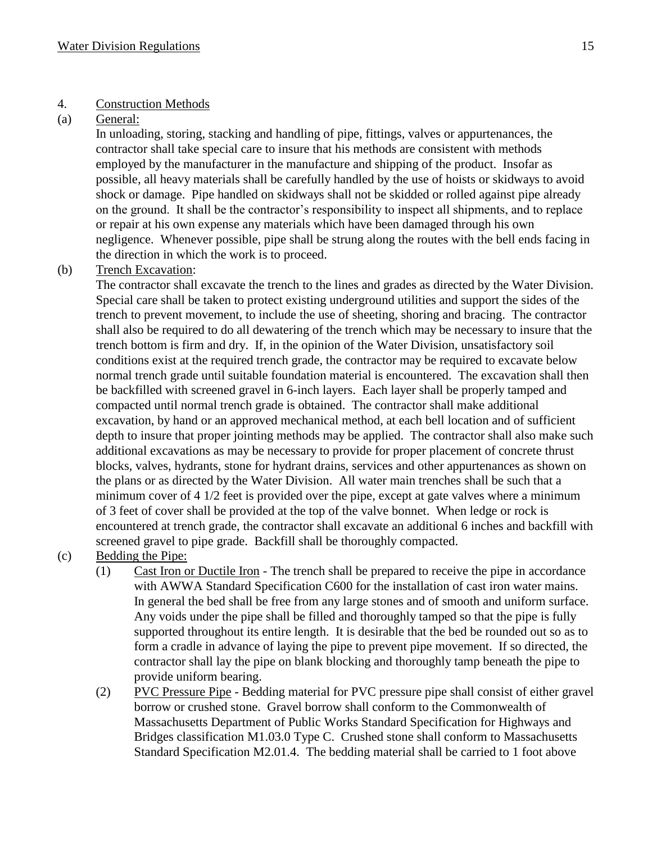#### 4. Construction Methods

#### (a) General:

In unloading, storing, stacking and handling of pipe, fittings, valves or appurtenances, the contractor shall take special care to insure that his methods are consistent with methods employed by the manufacturer in the manufacture and shipping of the product. Insofar as possible, all heavy materials shall be carefully handled by the use of hoists or skidways to avoid shock or damage. Pipe handled on skidways shall not be skidded or rolled against pipe already on the ground. It shall be the contractor's responsibility to inspect all shipments, and to replace or repair at his own expense any materials which have been damaged through his own negligence. Whenever possible, pipe shall be strung along the routes with the bell ends facing in the direction in which the work is to proceed.

#### (b) Trench Excavation:

The contractor shall excavate the trench to the lines and grades as directed by the Water Division. Special care shall be taken to protect existing underground utilities and support the sides of the trench to prevent movement, to include the use of sheeting, shoring and bracing. The contractor shall also be required to do all dewatering of the trench which may be necessary to insure that the trench bottom is firm and dry. If, in the opinion of the Water Division, unsatisfactory soil conditions exist at the required trench grade, the contractor may be required to excavate below normal trench grade until suitable foundation material is encountered. The excavation shall then be backfilled with screened gravel in 6-inch layers. Each layer shall be properly tamped and compacted until normal trench grade is obtained. The contractor shall make additional excavation, by hand or an approved mechanical method, at each bell location and of sufficient depth to insure that proper jointing methods may be applied. The contractor shall also make such additional excavations as may be necessary to provide for proper placement of concrete thrust blocks, valves, hydrants, stone for hydrant drains, services and other appurtenances as shown on the plans or as directed by the Water Division. All water main trenches shall be such that a minimum cover of 4 1/2 feet is provided over the pipe, except at gate valves where a minimum of 3 feet of cover shall be provided at the top of the valve bonnet. When ledge or rock is encountered at trench grade, the contractor shall excavate an additional 6 inches and backfill with screened gravel to pipe grade. Backfill shall be thoroughly compacted.

- (c) Bedding the Pipe:
	- (1) Cast Iron or Ductile Iron The trench shall be prepared to receive the pipe in accordance with AWWA Standard Specification C600 for the installation of cast iron water mains. In general the bed shall be free from any large stones and of smooth and uniform surface. Any voids under the pipe shall be filled and thoroughly tamped so that the pipe is fully supported throughout its entire length. It is desirable that the bed be rounded out so as to form a cradle in advance of laying the pipe to prevent pipe movement. If so directed, the contractor shall lay the pipe on blank blocking and thoroughly tamp beneath the pipe to provide uniform bearing.
	- (2) PVC Pressure Pipe Bedding material for PVC pressure pipe shall consist of either gravel borrow or crushed stone. Gravel borrow shall conform to the Commonwealth of Massachusetts Department of Public Works Standard Specification for Highways and Bridges classification M1.03.0 Type C. Crushed stone shall conform to Massachusetts Standard Specification M2.01.4. The bedding material shall be carried to 1 foot above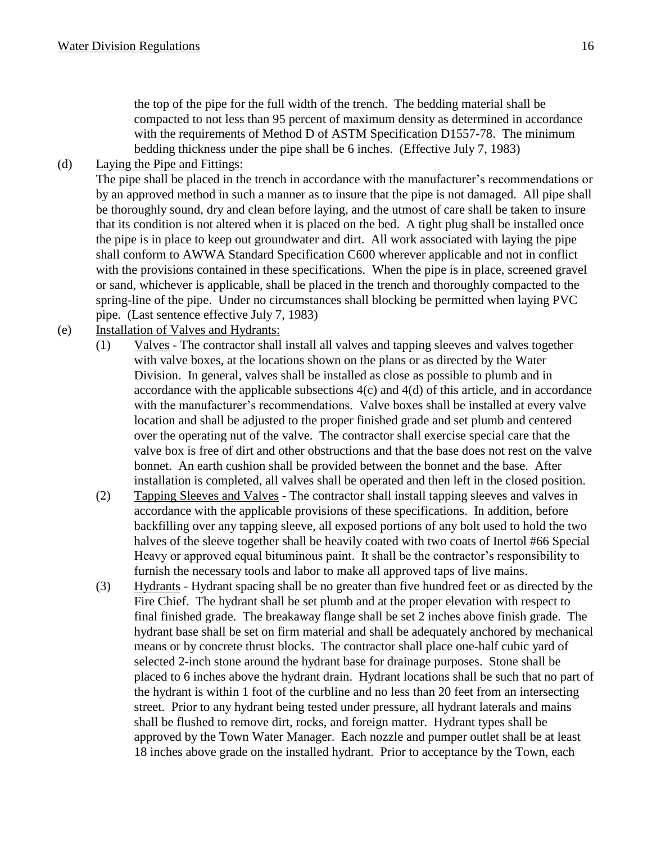the top of the pipe for the full width of the trench. The bedding material shall be compacted to not less than 95 percent of maximum density as determined in accordance with the requirements of Method D of ASTM Specification D1557-78. The minimum bedding thickness under the pipe shall be 6 inches. (Effective July 7, 1983)

(d) Laying the Pipe and Fittings:

The pipe shall be placed in the trench in accordance with the manufacturer's recommendations or by an approved method in such a manner as to insure that the pipe is not damaged. All pipe shall be thoroughly sound, dry and clean before laying, and the utmost of care shall be taken to insure that its condition is not altered when it is placed on the bed. A tight plug shall be installed once the pipe is in place to keep out groundwater and dirt. All work associated with laying the pipe shall conform to AWWA Standard Specification C600 wherever applicable and not in conflict with the provisions contained in these specifications. When the pipe is in place, screened gravel or sand, whichever is applicable, shall be placed in the trench and thoroughly compacted to the spring-line of the pipe. Under no circumstances shall blocking be permitted when laying PVC pipe. (Last sentence effective July 7, 1983)

- (e) Installation of Valves and Hydrants:
	- (1) Valves The contractor shall install all valves and tapping sleeves and valves together with valve boxes, at the locations shown on the plans or as directed by the Water Division. In general, valves shall be installed as close as possible to plumb and in accordance with the applicable subsections 4(c) and 4(d) of this article, and in accordance with the manufacturer's recommendations. Valve boxes shall be installed at every valve location and shall be adjusted to the proper finished grade and set plumb and centered over the operating nut of the valve. The contractor shall exercise special care that the valve box is free of dirt and other obstructions and that the base does not rest on the valve bonnet. An earth cushion shall be provided between the bonnet and the base. After installation is completed, all valves shall be operated and then left in the closed position.
	- (2) Tapping Sleeves and Valves The contractor shall install tapping sleeves and valves in accordance with the applicable provisions of these specifications. In addition, before backfilling over any tapping sleeve, all exposed portions of any bolt used to hold the two halves of the sleeve together shall be heavily coated with two coats of Inertol #66 Special Heavy or approved equal bituminous paint. It shall be the contractor's responsibility to furnish the necessary tools and labor to make all approved taps of live mains.
	- (3) Hydrants Hydrant spacing shall be no greater than five hundred feet or as directed by the Fire Chief. The hydrant shall be set plumb and at the proper elevation with respect to final finished grade. The breakaway flange shall be set 2 inches above finish grade. The hydrant base shall be set on firm material and shall be adequately anchored by mechanical means or by concrete thrust blocks. The contractor shall place one-half cubic yard of selected 2-inch stone around the hydrant base for drainage purposes. Stone shall be placed to 6 inches above the hydrant drain. Hydrant locations shall be such that no part of the hydrant is within 1 foot of the curbline and no less than 20 feet from an intersecting street. Prior to any hydrant being tested under pressure, all hydrant laterals and mains shall be flushed to remove dirt, rocks, and foreign matter. Hydrant types shall be approved by the Town Water Manager. Each nozzle and pumper outlet shall be at least 18 inches above grade on the installed hydrant. Prior to acceptance by the Town, each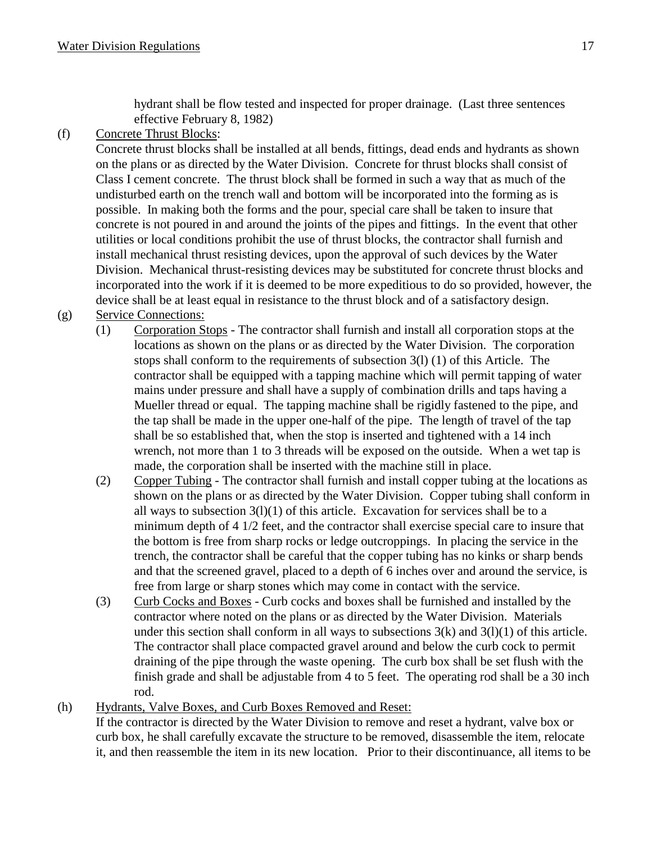hydrant shall be flow tested and inspected for proper drainage. (Last three sentences effective February 8, 1982)

(f) Concrete Thrust Blocks:

Concrete thrust blocks shall be installed at all bends, fittings, dead ends and hydrants as shown on the plans or as directed by the Water Division. Concrete for thrust blocks shall consist of Class I cement concrete. The thrust block shall be formed in such a way that as much of the undisturbed earth on the trench wall and bottom will be incorporated into the forming as is possible. In making both the forms and the pour, special care shall be taken to insure that concrete is not poured in and around the joints of the pipes and fittings. In the event that other utilities or local conditions prohibit the use of thrust blocks, the contractor shall furnish and install mechanical thrust resisting devices, upon the approval of such devices by the Water Division. Mechanical thrust-resisting devices may be substituted for concrete thrust blocks and incorporated into the work if it is deemed to be more expeditious to do so provided, however, the device shall be at least equal in resistance to the thrust block and of a satisfactory design.

- (g) Service Connections:
	- (1) Corporation Stops The contractor shall furnish and install all corporation stops at the locations as shown on the plans or as directed by the Water Division. The corporation stops shall conform to the requirements of subsection 3(l) (1) of this Article. The contractor shall be equipped with a tapping machine which will permit tapping of water mains under pressure and shall have a supply of combination drills and taps having a Mueller thread or equal. The tapping machine shall be rigidly fastened to the pipe, and the tap shall be made in the upper one-half of the pipe. The length of travel of the tap shall be so established that, when the stop is inserted and tightened with a 14 inch wrench, not more than 1 to 3 threads will be exposed on the outside. When a wet tap is made, the corporation shall be inserted with the machine still in place.
	- (2) Copper Tubing The contractor shall furnish and install copper tubing at the locations as shown on the plans or as directed by the Water Division. Copper tubing shall conform in all ways to subsection  $3(1)(1)$  of this article. Excavation for services shall be to a minimum depth of 4 1/2 feet, and the contractor shall exercise special care to insure that the bottom is free from sharp rocks or ledge outcroppings. In placing the service in the trench, the contractor shall be careful that the copper tubing has no kinks or sharp bends and that the screened gravel, placed to a depth of 6 inches over and around the service, is free from large or sharp stones which may come in contact with the service.
	- (3) Curb Cocks and Boxes Curb cocks and boxes shall be furnished and installed by the contractor where noted on the plans or as directed by the Water Division. Materials under this section shall conform in all ways to subsections  $3(k)$  and  $3(l)(1)$  of this article. The contractor shall place compacted gravel around and below the curb cock to permit draining of the pipe through the waste opening. The curb box shall be set flush with the finish grade and shall be adjustable from 4 to 5 feet. The operating rod shall be a 30 inch rod.

#### (h) Hydrants, Valve Boxes, and Curb Boxes Removed and Reset:

If the contractor is directed by the Water Division to remove and reset a hydrant, valve box or curb box, he shall carefully excavate the structure to be removed, disassemble the item, relocate it, and then reassemble the item in its new location. Prior to their discontinuance, all items to be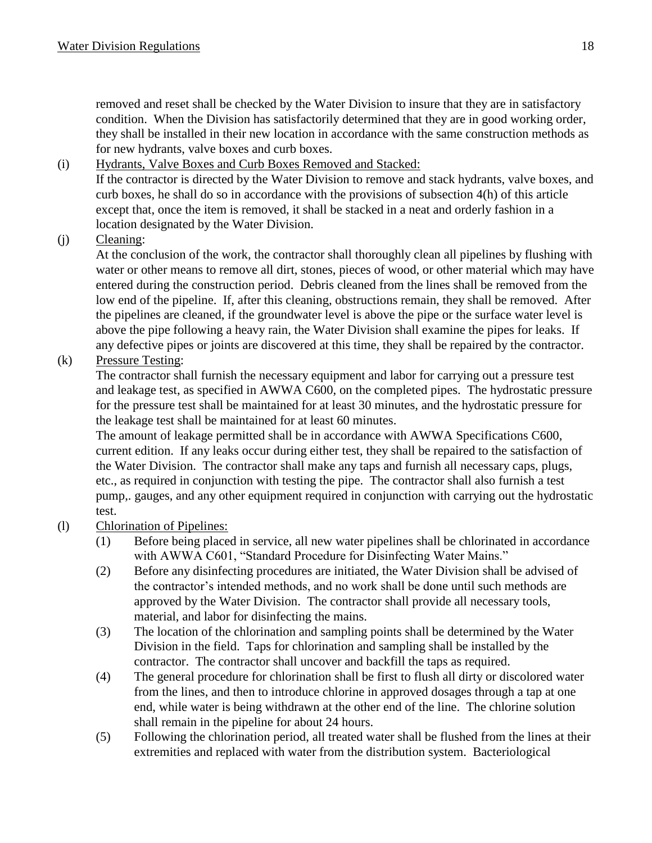removed and reset shall be checked by the Water Division to insure that they are in satisfactory condition. When the Division has satisfactorily determined that they are in good working order, they shall be installed in their new location in accordance with the same construction methods as for new hydrants, valve boxes and curb boxes.

# (i) Hydrants, Valve Boxes and Curb Boxes Removed and Stacked:

If the contractor is directed by the Water Division to remove and stack hydrants, valve boxes, and curb boxes, he shall do so in accordance with the provisions of subsection 4(h) of this article except that, once the item is removed, it shall be stacked in a neat and orderly fashion in a location designated by the Water Division.

(j) Cleaning:

At the conclusion of the work, the contractor shall thoroughly clean all pipelines by flushing with water or other means to remove all dirt, stones, pieces of wood, or other material which may have entered during the construction period. Debris cleaned from the lines shall be removed from the low end of the pipeline. If, after this cleaning, obstructions remain, they shall be removed. After the pipelines are cleaned, if the groundwater level is above the pipe or the surface water level is above the pipe following a heavy rain, the Water Division shall examine the pipes for leaks. If any defective pipes or joints are discovered at this time, they shall be repaired by the contractor.

# (k) Pressure Testing:

The contractor shall furnish the necessary equipment and labor for carrying out a pressure test and leakage test, as specified in AWWA C600, on the completed pipes. The hydrostatic pressure for the pressure test shall be maintained for at least 30 minutes, and the hydrostatic pressure for the leakage test shall be maintained for at least 60 minutes.

The amount of leakage permitted shall be in accordance with AWWA Specifications C600, current edition. If any leaks occur during either test, they shall be repaired to the satisfaction of the Water Division. The contractor shall make any taps and furnish all necessary caps, plugs, etc., as required in conjunction with testing the pipe. The contractor shall also furnish a test pump,. gauges, and any other equipment required in conjunction with carrying out the hydrostatic test.

- (l) Chlorination of Pipelines:
	- (1) Before being placed in service, all new water pipelines shall be chlorinated in accordance with AWWA C601, "Standard Procedure for Disinfecting Water Mains."
	- (2) Before any disinfecting procedures are initiated, the Water Division shall be advised of the contractor's intended methods, and no work shall be done until such methods are approved by the Water Division. The contractor shall provide all necessary tools, material, and labor for disinfecting the mains.
	- (3) The location of the chlorination and sampling points shall be determined by the Water Division in the field. Taps for chlorination and sampling shall be installed by the contractor. The contractor shall uncover and backfill the taps as required.
	- (4) The general procedure for chlorination shall be first to flush all dirty or discolored water from the lines, and then to introduce chlorine in approved dosages through a tap at one end, while water is being withdrawn at the other end of the line. The chlorine solution shall remain in the pipeline for about 24 hours.
	- (5) Following the chlorination period, all treated water shall be flushed from the lines at their extremities and replaced with water from the distribution system. Bacteriological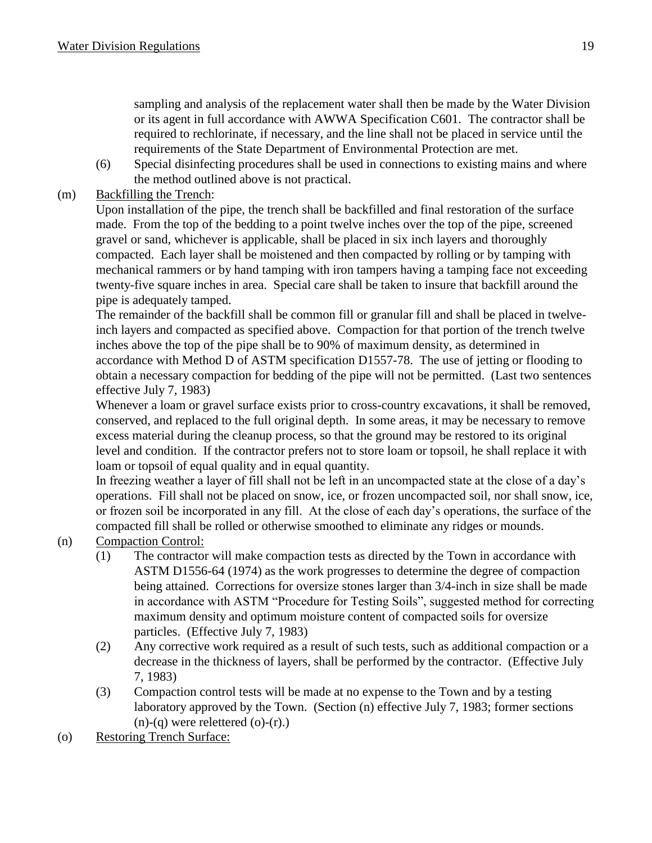sampling and analysis of the replacement water shall then be made by the Water Division or its agent in full accordance with AWWA Specification C601. The contractor shall be required to rechlorinate, if necessary, and the line shall not be placed in service until the requirements of the State Department of Environmental Protection are met.

(6) Special disinfecting procedures shall be used in connections to existing mains and where the method outlined above is not practical.

# (m) Backfilling the Trench:

Upon installation of the pipe, the trench shall be backfilled and final restoration of the surface made. From the top of the bedding to a point twelve inches over the top of the pipe, screened gravel or sand, whichever is applicable, shall be placed in six inch layers and thoroughly compacted. Each layer shall be moistened and then compacted by rolling or by tamping with mechanical rammers or by hand tamping with iron tampers having a tamping face not exceeding twenty-five square inches in area. Special care shall be taken to insure that backfill around the pipe is adequately tamped.

The remainder of the backfill shall be common fill or granular fill and shall be placed in twelveinch layers and compacted as specified above. Compaction for that portion of the trench twelve inches above the top of the pipe shall be to 90% of maximum density, as determined in accordance with Method D of ASTM specification D1557-78. The use of jetting or flooding to obtain a necessary compaction for bedding of the pipe will not be permitted. (Last two sentences effective July 7, 1983)

Whenever a loam or gravel surface exists prior to cross-country excavations, it shall be removed, conserved, and replaced to the full original depth. In some areas, it may be necessary to remove excess material during the cleanup process, so that the ground may be restored to its original level and condition. If the contractor prefers not to store loam or topsoil, he shall replace it with loam or topsoil of equal quality and in equal quantity.

In freezing weather a layer of fill shall not be left in an uncompacted state at the close of a day's operations. Fill shall not be placed on snow, ice, or frozen uncompacted soil, nor shall snow, ice, or frozen soil be incorporated in any fill. At the close of each day's operations, the surface of the compacted fill shall be rolled or otherwise smoothed to eliminate any ridges or mounds.

# (n) Compaction Control:

- (1) The contractor will make compaction tests as directed by the Town in accordance with ASTM D1556-64 (1974) as the work progresses to determine the degree of compaction being attained. Corrections for oversize stones larger than 3/4-inch in size shall be made in accordance with ASTM "Procedure for Testing Soils", suggested method for correcting maximum density and optimum moisture content of compacted soils for oversize particles. (Effective July 7, 1983)
- (2) Any corrective work required as a result of such tests, such as additional compaction or a decrease in the thickness of layers, shall be performed by the contractor. (Effective July 7, 1983)
- (3) Compaction control tests will be made at no expense to the Town and by a testing laboratory approved by the Town. (Section (n) effective July 7, 1983; former sections  $(n)-(q)$  were relettered  $(o)-(r)$ .
- (o) Restoring Trench Surface: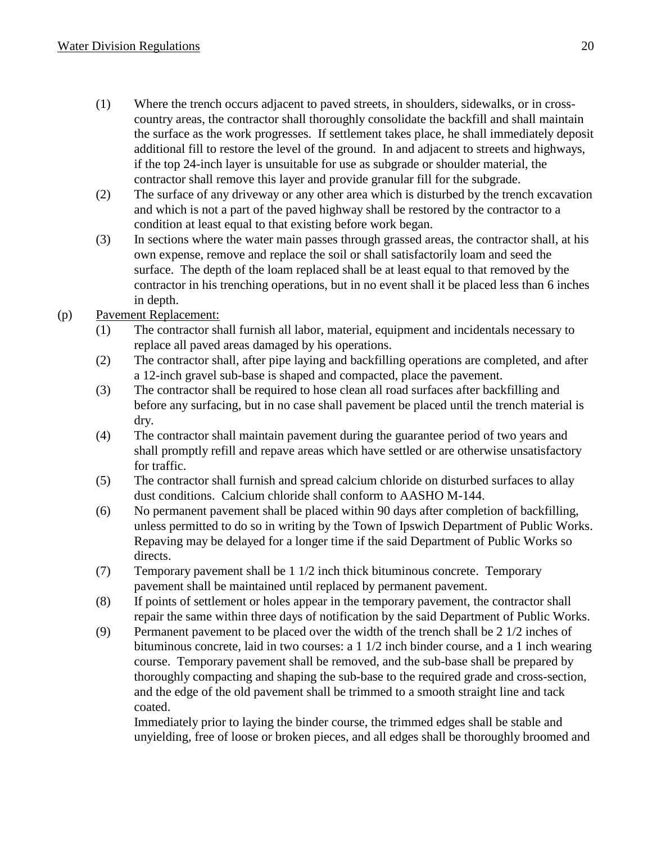- (1) Where the trench occurs adjacent to paved streets, in shoulders, sidewalks, or in crosscountry areas, the contractor shall thoroughly consolidate the backfill and shall maintain the surface as the work progresses. If settlement takes place, he shall immediately deposit additional fill to restore the level of the ground. In and adjacent to streets and highways, if the top 24-inch layer is unsuitable for use as subgrade or shoulder material, the contractor shall remove this layer and provide granular fill for the subgrade.
- (2) The surface of any driveway or any other area which is disturbed by the trench excavation and which is not a part of the paved highway shall be restored by the contractor to a condition at least equal to that existing before work began.
- (3) In sections where the water main passes through grassed areas, the contractor shall, at his own expense, remove and replace the soil or shall satisfactorily loam and seed the surface. The depth of the loam replaced shall be at least equal to that removed by the contractor in his trenching operations, but in no event shall it be placed less than 6 inches in depth.

# (p) Pavement Replacement:

- (1) The contractor shall furnish all labor, material, equipment and incidentals necessary to replace all paved areas damaged by his operations.
- (2) The contractor shall, after pipe laying and backfilling operations are completed, and after a 12-inch gravel sub-base is shaped and compacted, place the pavement.
- (3) The contractor shall be required to hose clean all road surfaces after backfilling and before any surfacing, but in no case shall pavement be placed until the trench material is dry.
- (4) The contractor shall maintain pavement during the guarantee period of two years and shall promptly refill and repave areas which have settled or are otherwise unsatisfactory for traffic.
- (5) The contractor shall furnish and spread calcium chloride on disturbed surfaces to allay dust conditions. Calcium chloride shall conform to AASHO M-144.
- (6) No permanent pavement shall be placed within 90 days after completion of backfilling, unless permitted to do so in writing by the Town of Ipswich Department of Public Works. Repaving may be delayed for a longer time if the said Department of Public Works so directs.
- (7) Temporary pavement shall be 1 1/2 inch thick bituminous concrete. Temporary pavement shall be maintained until replaced by permanent pavement.
- (8) If points of settlement or holes appear in the temporary pavement, the contractor shall repair the same within three days of notification by the said Department of Public Works.
- (9) Permanent pavement to be placed over the width of the trench shall be 2 1/2 inches of bituminous concrete, laid in two courses: a 1 1/2 inch binder course, and a 1 inch wearing course. Temporary pavement shall be removed, and the sub-base shall be prepared by thoroughly compacting and shaping the sub-base to the required grade and cross-section, and the edge of the old pavement shall be trimmed to a smooth straight line and tack coated.

Immediately prior to laying the binder course, the trimmed edges shall be stable and unyielding, free of loose or broken pieces, and all edges shall be thoroughly broomed and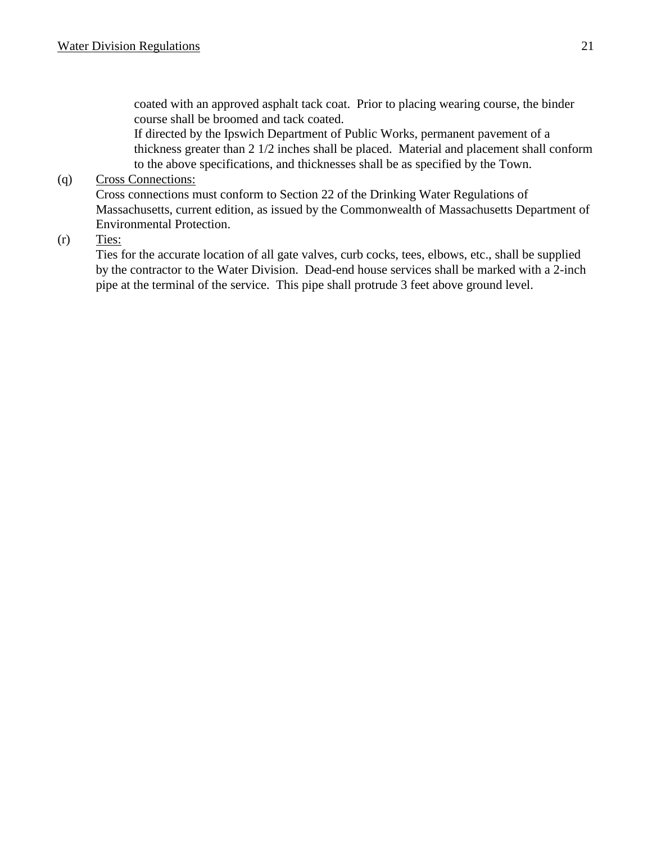coated with an approved asphalt tack coat. Prior to placing wearing course, the binder course shall be broomed and tack coated.

If directed by the Ipswich Department of Public Works, permanent pavement of a thickness greater than 2 1/2 inches shall be placed. Material and placement shall conform to the above specifications, and thicknesses shall be as specified by the Town.

#### (q) Cross Connections:

Cross connections must conform to Section 22 of the Drinking Water Regulations of Massachusetts, current edition, as issued by the Commonwealth of Massachusetts Department of Environmental Protection.

 $(r)$  Ties:

Ties for the accurate location of all gate valves, curb cocks, tees, elbows, etc., shall be supplied by the contractor to the Water Division. Dead-end house services shall be marked with a 2-inch pipe at the terminal of the service. This pipe shall protrude 3 feet above ground level.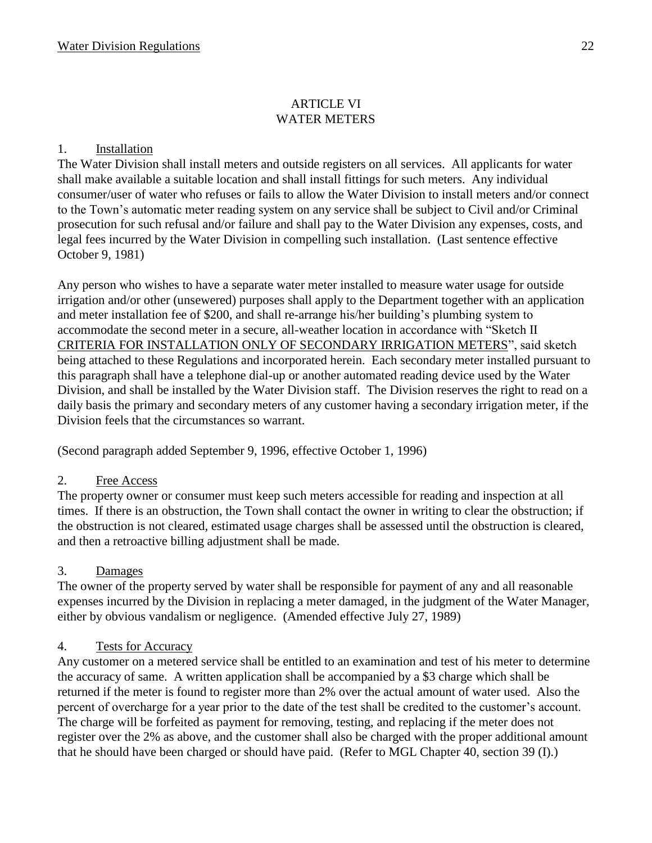#### ARTICLE VI WATER METERS

#### 1. Installation

The Water Division shall install meters and outside registers on all services. All applicants for water shall make available a suitable location and shall install fittings for such meters. Any individual consumer/user of water who refuses or fails to allow the Water Division to install meters and/or connect to the Town's automatic meter reading system on any service shall be subject to Civil and/or Criminal prosecution for such refusal and/or failure and shall pay to the Water Division any expenses, costs, and legal fees incurred by the Water Division in compelling such installation. (Last sentence effective October 9, 1981)

Any person who wishes to have a separate water meter installed to measure water usage for outside irrigation and/or other (unsewered) purposes shall apply to the Department together with an application and meter installation fee of \$200, and shall re-arrange his/her building's plumbing system to accommodate the second meter in a secure, all-weather location in accordance with "Sketch II CRITERIA FOR INSTALLATION ONLY OF SECONDARY IRRIGATION METERS", said sketch being attached to these Regulations and incorporated herein. Each secondary meter installed pursuant to this paragraph shall have a telephone dial-up or another automated reading device used by the Water Division, and shall be installed by the Water Division staff. The Division reserves the right to read on a daily basis the primary and secondary meters of any customer having a secondary irrigation meter, if the Division feels that the circumstances so warrant.

(Second paragraph added September 9, 1996, effective October 1, 1996)

#### 2. Free Access

The property owner or consumer must keep such meters accessible for reading and inspection at all times. If there is an obstruction, the Town shall contact the owner in writing to clear the obstruction; if the obstruction is not cleared, estimated usage charges shall be assessed until the obstruction is cleared, and then a retroactive billing adjustment shall be made.

#### 3. Damages

The owner of the property served by water shall be responsible for payment of any and all reasonable expenses incurred by the Division in replacing a meter damaged, in the judgment of the Water Manager, either by obvious vandalism or negligence. (Amended effective July 27, 1989)

#### 4. Tests for Accuracy

Any customer on a metered service shall be entitled to an examination and test of his meter to determine the accuracy of same. A written application shall be accompanied by a \$3 charge which shall be returned if the meter is found to register more than 2% over the actual amount of water used. Also the percent of overcharge for a year prior to the date of the test shall be credited to the customer's account. The charge will be forfeited as payment for removing, testing, and replacing if the meter does not register over the 2% as above, and the customer shall also be charged with the proper additional amount that he should have been charged or should have paid. (Refer to MGL Chapter 40, section 39 (I).)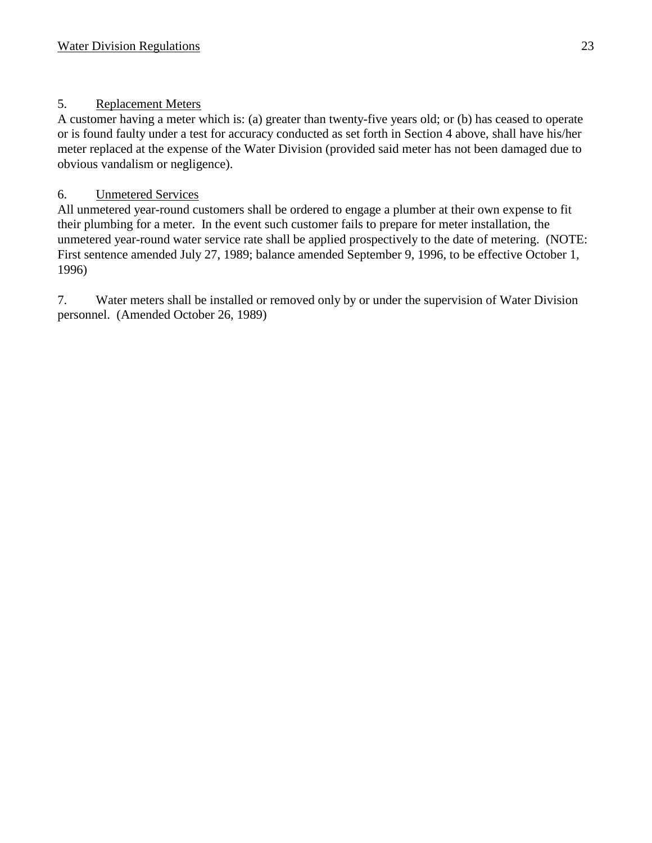# 5. Replacement Meters

A customer having a meter which is: (a) greater than twenty-five years old; or (b) has ceased to operate or is found faulty under a test for accuracy conducted as set forth in Section 4 above, shall have his/her meter replaced at the expense of the Water Division (provided said meter has not been damaged due to obvious vandalism or negligence).

# 6. Unmetered Services

All unmetered year-round customers shall be ordered to engage a plumber at their own expense to fit their plumbing for a meter. In the event such customer fails to prepare for meter installation, the unmetered year-round water service rate shall be applied prospectively to the date of metering. (NOTE: First sentence amended July 27, 1989; balance amended September 9, 1996, to be effective October 1, 1996)

7. Water meters shall be installed or removed only by or under the supervision of Water Division personnel. (Amended October 26, 1989)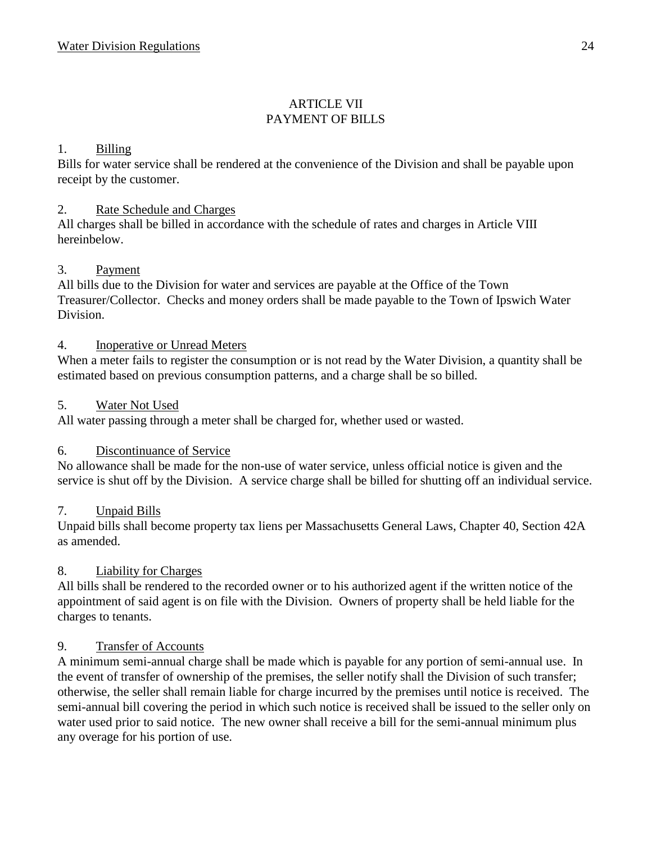# **ARTICLE VII** PAYMENT OF BILLS

## 1. Billing

Bills for water service shall be rendered at the convenience of the Division and shall be payable upon receipt by the customer.

#### 2. Rate Schedule and Charges

All charges shall be billed in accordance with the schedule of rates and charges in Article VIII hereinbelow.

## 3. Payment

All bills due to the Division for water and services are payable at the Office of the Town Treasurer/Collector. Checks and money orders shall be made payable to the Town of Ipswich Water Division.

## 4. Inoperative or Unread Meters

When a meter fails to register the consumption or is not read by the Water Division, a quantity shall be estimated based on previous consumption patterns, and a charge shall be so billed.

## 5. Water Not Used

All water passing through a meter shall be charged for, whether used or wasted.

# 6. Discontinuance of Service

No allowance shall be made for the non-use of water service, unless official notice is given and the service is shut off by the Division. A service charge shall be billed for shutting off an individual service.

# 7. Unpaid Bills

Unpaid bills shall become property tax liens per Massachusetts General Laws, Chapter 40, Section 42A as amended.

# 8. Liability for Charges

All bills shall be rendered to the recorded owner or to his authorized agent if the written notice of the appointment of said agent is on file with the Division. Owners of property shall be held liable for the charges to tenants.

#### 9. Transfer of Accounts

A minimum semi-annual charge shall be made which is payable for any portion of semi-annual use. In the event of transfer of ownership of the premises, the seller notify shall the Division of such transfer; otherwise, the seller shall remain liable for charge incurred by the premises until notice is received. The semi-annual bill covering the period in which such notice is received shall be issued to the seller only on water used prior to said notice. The new owner shall receive a bill for the semi-annual minimum plus any overage for his portion of use.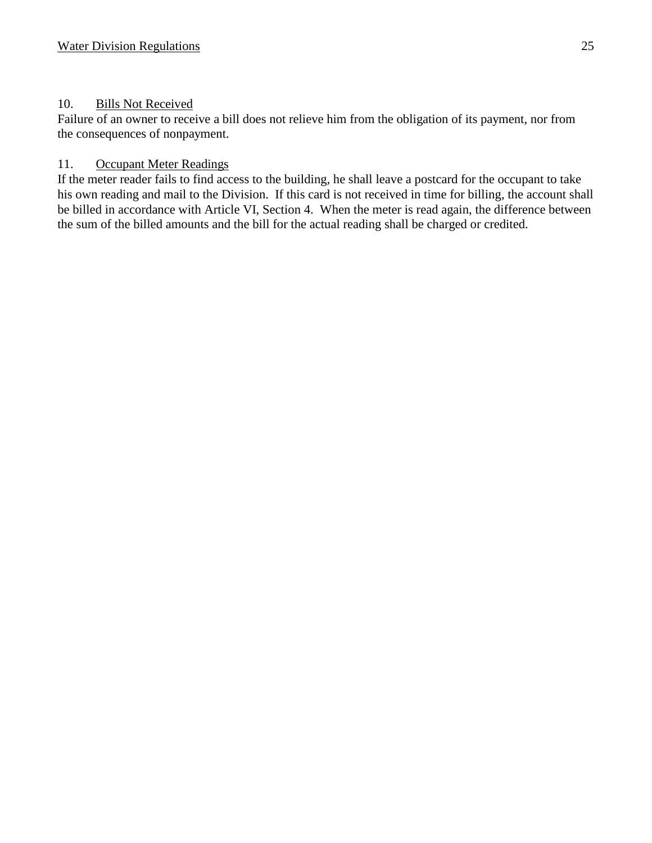## 10. Bills Not Received

Failure of an owner to receive a bill does not relieve him from the obligation of its payment, nor from the consequences of nonpayment.

## 11. Occupant Meter Readings

If the meter reader fails to find access to the building, he shall leave a postcard for the occupant to take his own reading and mail to the Division. If this card is not received in time for billing, the account shall be billed in accordance with Article VI, Section 4. When the meter is read again, the difference between the sum of the billed amounts and the bill for the actual reading shall be charged or credited.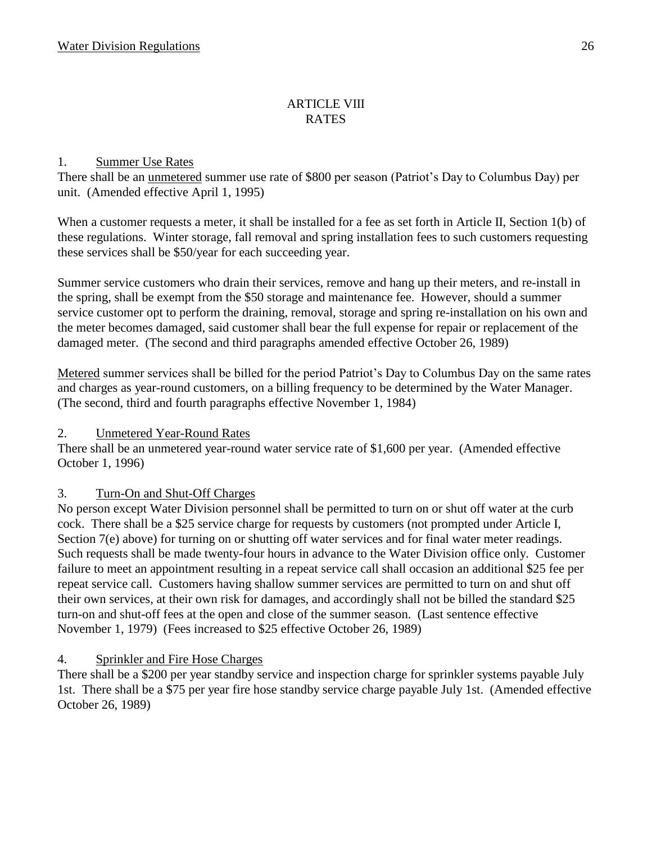#### ARTICLE VIII RATES

## 1. Summer Use Rates

There shall be an unmetered summer use rate of \$800 per season (Patriot's Day to Columbus Day) per unit. (Amended effective April 1, 1995)

When a customer requests a meter, it shall be installed for a fee as set forth in Article II, Section 1(b) of these regulations. Winter storage, fall removal and spring installation fees to such customers requesting these services shall be \$50/year for each succeeding year.

Summer service customers who drain their services, remove and hang up their meters, and re-install in the spring, shall be exempt from the \$50 storage and maintenance fee. However, should a summer service customer opt to perform the draining, removal, storage and spring re-installation on his own and the meter becomes damaged, said customer shall bear the full expense for repair or replacement of the damaged meter. (The second and third paragraphs amended effective October 26, 1989)

Metered summer services shall be billed for the period Patriot's Day to Columbus Day on the same rates and charges as year-round customers, on a billing frequency to be determined by the Water Manager. (The second, third and fourth paragraphs effective November 1, 1984)

# 2. Unmetered Year-Round Rates

There shall be an unmetered year-round water service rate of \$1,600 per year. (Amended effective October 1, 1996)

# 3. Turn-On and Shut-Off Charges

No person except Water Division personnel shall be permitted to turn on or shut off water at the curb cock. There shall be a \$25 service charge for requests by customers (not prompted under Article I, Section 7(e) above) for turning on or shutting off water services and for final water meter readings. Such requests shall be made twenty-four hours in advance to the Water Division office only. Customer failure to meet an appointment resulting in a repeat service call shall occasion an additional \$25 fee per repeat service call. Customers having shallow summer services are permitted to turn on and shut off their own services, at their own risk for damages, and accordingly shall not be billed the standard \$25 turn-on and shut-off fees at the open and close of the summer season. (Last sentence effective November 1, 1979) (Fees increased to \$25 effective October 26, 1989)

# 4. Sprinkler and Fire Hose Charges

There shall be a \$200 per year standby service and inspection charge for sprinkler systems payable July 1st. There shall be a \$75 per year fire hose standby service charge payable July 1st. (Amended effective October 26, 1989)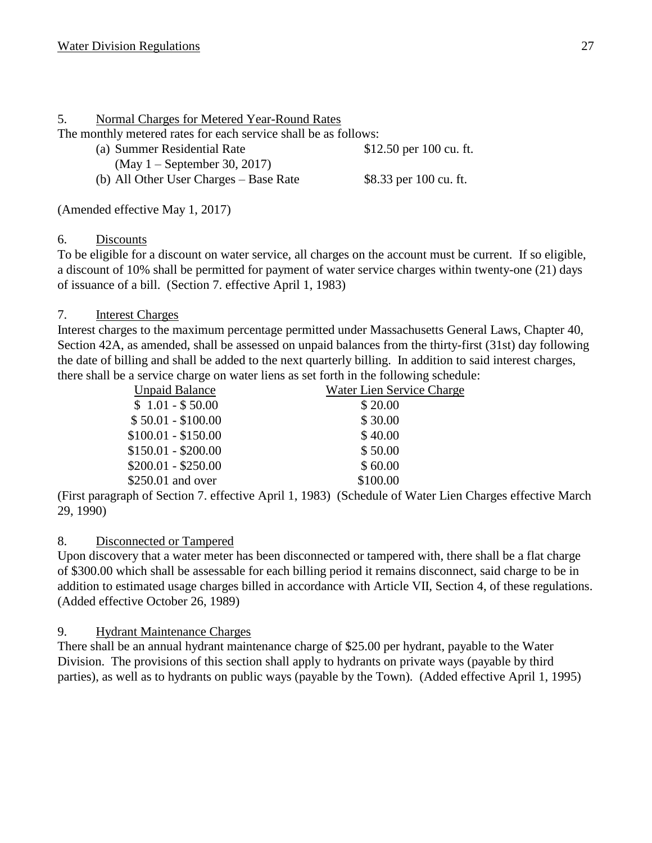## 5. Normal Charges for Metered Year-Round Rates

The monthly metered rates for each service shall be as follows:

- (a) Summer Residential Rate \$12.50 per 100 cu. ft.
	- (May 1 September 30, 2017)

(b) All Other User Charges – Base Rate  $$8.33$  per 100 cu. ft.

(Amended effective May 1, 2017)

#### 6. Discounts

To be eligible for a discount on water service, all charges on the account must be current. If so eligible, a discount of 10% shall be permitted for payment of water service charges within twenty-one (21) days of issuance of a bill. (Section 7. effective April 1, 1983)

## 7. Interest Charges

Interest charges to the maximum percentage permitted under Massachusetts General Laws, Chapter 40, Section 42A, as amended, shall be assessed on unpaid balances from the thirty-first (31st) day following the date of billing and shall be added to the next quarterly billing. In addition to said interest charges, there shall be a service charge on water liens as set forth in the following schedule:

| <b>Unpaid Balance</b> | Water Lien Service Charge |  |
|-----------------------|---------------------------|--|
| $$1.01 - $50.00$      | \$ 20.00                  |  |
| $$50.01 - $100.00$    | \$30.00                   |  |
| $$100.01 - $150.00$   | \$40.00                   |  |
| $$150.01 - $200.00$   | \$50.00                   |  |
| $$200.01 - $250.00$   | \$60.00                   |  |
| \$250.01 and over     | \$100.00                  |  |

(First paragraph of Section 7. effective April 1, 1983) (Schedule of Water Lien Charges effective March 29, 1990)

# 8. Disconnected or Tampered

Upon discovery that a water meter has been disconnected or tampered with, there shall be a flat charge of \$300.00 which shall be assessable for each billing period it remains disconnect, said charge to be in addition to estimated usage charges billed in accordance with Article VII, Section 4, of these regulations. (Added effective October 26, 1989)

# 9. Hydrant Maintenance Charges

There shall be an annual hydrant maintenance charge of \$25.00 per hydrant, payable to the Water Division. The provisions of this section shall apply to hydrants on private ways (payable by third parties), as well as to hydrants on public ways (payable by the Town). (Added effective April 1, 1995)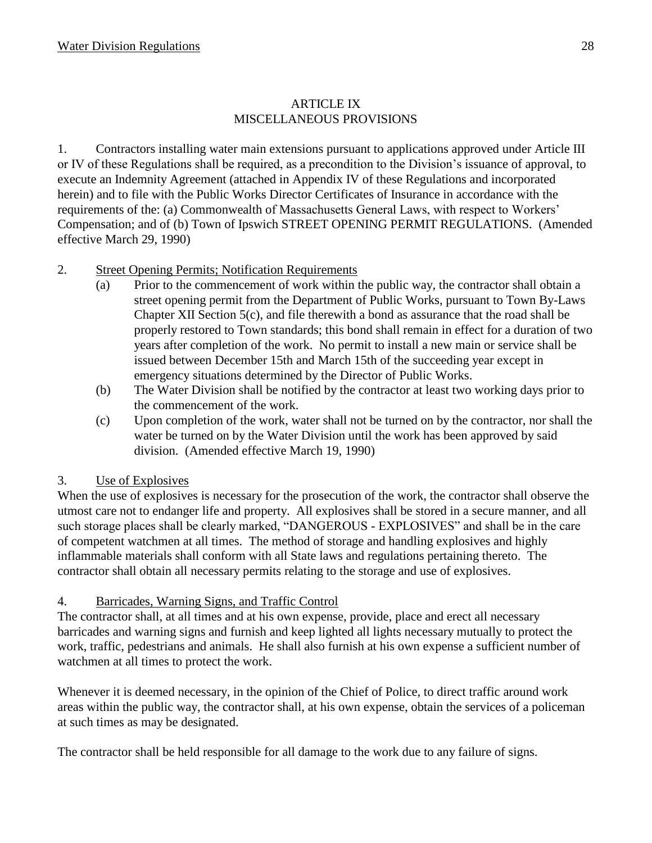#### ARTICLE IX MISCELLANEOUS PROVISIONS

1. Contractors installing water main extensions pursuant to applications approved under Article III or IV of these Regulations shall be required, as a precondition to the Division's issuance of approval, to execute an Indemnity Agreement (attached in Appendix IV of these Regulations and incorporated herein) and to file with the Public Works Director Certificates of Insurance in accordance with the requirements of the: (a) Commonwealth of Massachusetts General Laws, with respect to Workers' Compensation; and of (b) Town of Ipswich STREET OPENING PERMIT REGULATIONS. (Amended effective March 29, 1990)

# 2. Street Opening Permits; Notification Requirements

- (a) Prior to the commencement of work within the public way, the contractor shall obtain a street opening permit from the Department of Public Works, pursuant to Town By-Laws Chapter XII Section 5(c), and file therewith a bond as assurance that the road shall be properly restored to Town standards; this bond shall remain in effect for a duration of two years after completion of the work. No permit to install a new main or service shall be issued between December 15th and March 15th of the succeeding year except in emergency situations determined by the Director of Public Works.
- (b) The Water Division shall be notified by the contractor at least two working days prior to the commencement of the work.
- (c) Upon completion of the work, water shall not be turned on by the contractor, nor shall the water be turned on by the Water Division until the work has been approved by said division. (Amended effective March 19, 1990)

#### 3. Use of Explosives

When the use of explosives is necessary for the prosecution of the work, the contractor shall observe the utmost care not to endanger life and property. All explosives shall be stored in a secure manner, and all such storage places shall be clearly marked, "DANGEROUS - EXPLOSIVES" and shall be in the care of competent watchmen at all times. The method of storage and handling explosives and highly inflammable materials shall conform with all State laws and regulations pertaining thereto. The contractor shall obtain all necessary permits relating to the storage and use of explosives.

# 4. Barricades, Warning Signs, and Traffic Control

The contractor shall, at all times and at his own expense, provide, place and erect all necessary barricades and warning signs and furnish and keep lighted all lights necessary mutually to protect the work, traffic, pedestrians and animals. He shall also furnish at his own expense a sufficient number of watchmen at all times to protect the work.

Whenever it is deemed necessary, in the opinion of the Chief of Police, to direct traffic around work areas within the public way, the contractor shall, at his own expense, obtain the services of a policeman at such times as may be designated.

The contractor shall be held responsible for all damage to the work due to any failure of signs.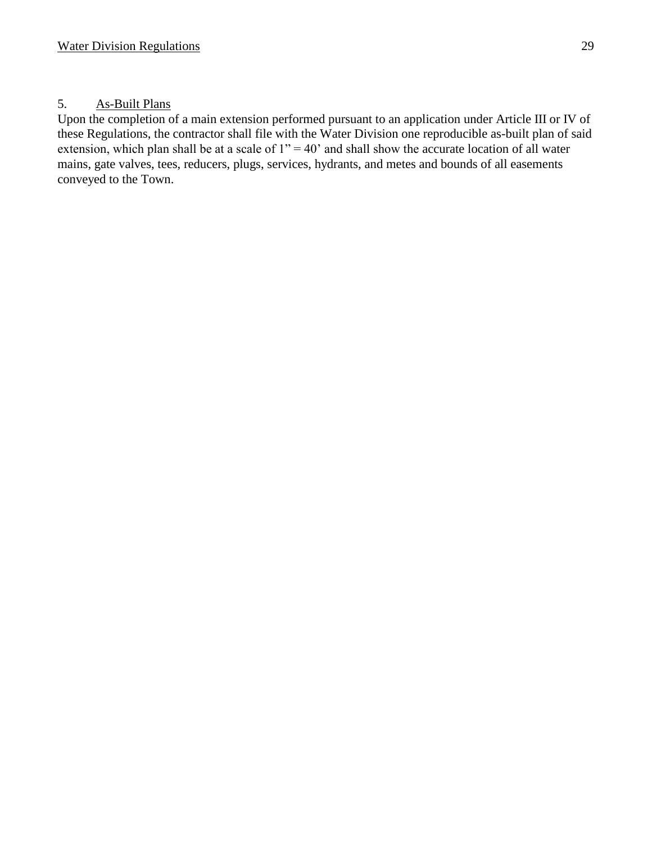#### 5. As-Built Plans

Upon the completion of a main extension performed pursuant to an application under Article III or IV of these Regulations, the contractor shall file with the Water Division one reproducible as-built plan of said extension, which plan shall be at a scale of  $1" = 40'$  and shall show the accurate location of all water mains, gate valves, tees, reducers, plugs, services, hydrants, and metes and bounds of all easements conveyed to the Town.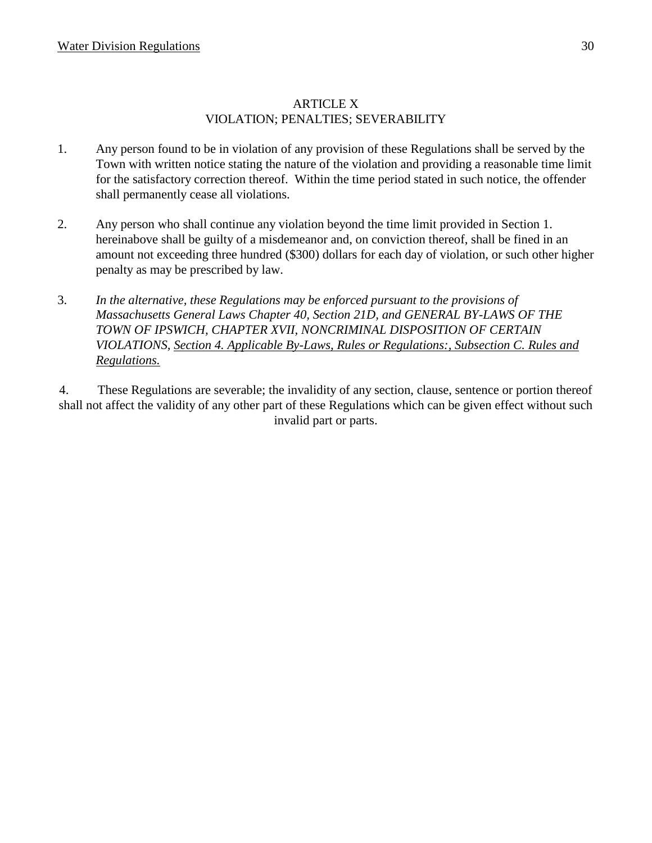#### ARTICLE X VIOLATION; PENALTIES; SEVERABILITY

- 1. Any person found to be in violation of any provision of these Regulations shall be served by the Town with written notice stating the nature of the violation and providing a reasonable time limit for the satisfactory correction thereof. Within the time period stated in such notice, the offender shall permanently cease all violations.
- 2. Any person who shall continue any violation beyond the time limit provided in Section 1. hereinabove shall be guilty of a misdemeanor and, on conviction thereof, shall be fined in an amount not exceeding three hundred (\$300) dollars for each day of violation, or such other higher penalty as may be prescribed by law.
- 3. *In the alternative, these Regulations may be enforced pursuant to the provisions of Massachusetts General Laws Chapter 40, Section 21D, and GENERAL BY-LAWS OF THE TOWN OF IPSWICH, CHAPTER XVII, NONCRIMINAL DISPOSITION OF CERTAIN VIOLATIONS, Section 4. Applicable By-Laws, Rules or Regulations:, Subsection C. Rules and Regulations.*

4. These Regulations are severable; the invalidity of any section, clause, sentence or portion thereof shall not affect the validity of any other part of these Regulations which can be given effect without such invalid part or parts.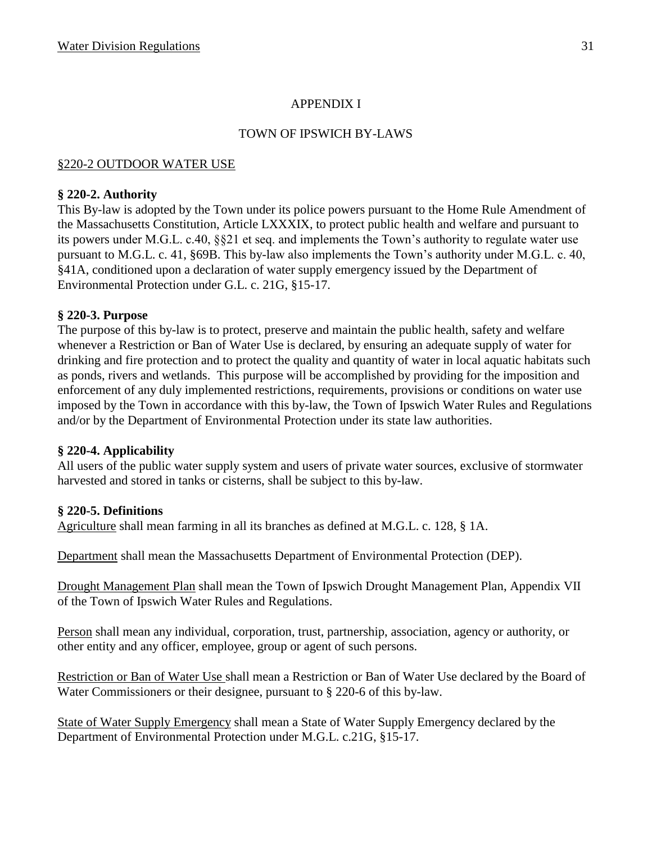#### APPENDIX I

#### TOWN OF IPSWICH BY-LAWS

## §220-2 OUTDOOR WATER USE

#### **§ 220-2. Authority**

This By-law is adopted by the Town under its police powers pursuant to the Home Rule Amendment of the Massachusetts Constitution, Article LXXXIX, to protect public health and welfare and pursuant to its powers under M.G.L. c.40, §§21 et seq. and implements the Town's authority to regulate water use pursuant to M.G.L. c. 41, §69B. This by-law also implements the Town's authority under M.G.L. c. 40, §41A, conditioned upon a declaration of water supply emergency issued by the Department of Environmental Protection under G.L. c. 21G, §15-17.

#### **§ 220-3. Purpose**

The purpose of this by-law is to protect, preserve and maintain the public health, safety and welfare whenever a Restriction or Ban of Water Use is declared, by ensuring an adequate supply of water for drinking and fire protection and to protect the quality and quantity of water in local aquatic habitats such as ponds, rivers and wetlands. This purpose will be accomplished by providing for the imposition and enforcement of any duly implemented restrictions, requirements, provisions or conditions on water use imposed by the Town in accordance with this by-law, the Town of Ipswich Water Rules and Regulations and/or by the Department of Environmental Protection under its state law authorities.

#### **§ 220-4. Applicability**

All users of the public water supply system and users of private water sources, exclusive of stormwater harvested and stored in tanks or cisterns, shall be subject to this by-law.

#### **§ 220-5. Definitions**

Agriculture shall mean farming in all its branches as defined at M.G.L. c. 128, § 1A.

Department shall mean the Massachusetts Department of Environmental Protection (DEP).

Drought Management Plan shall mean the Town of Ipswich Drought Management Plan, Appendix VII of the Town of Ipswich Water Rules and Regulations.

Person shall mean any individual, corporation, trust, partnership, association, agency or authority, or other entity and any officer, employee, group or agent of such persons.

Restriction or Ban of Water Use shall mean a Restriction or Ban of Water Use declared by the Board of Water Commissioners or their designee, pursuant to § 220-6 of this by-law.

State of Water Supply Emergency shall mean a State of Water Supply Emergency declared by the Department of Environmental Protection under M.G.L. c.21G, §15-17.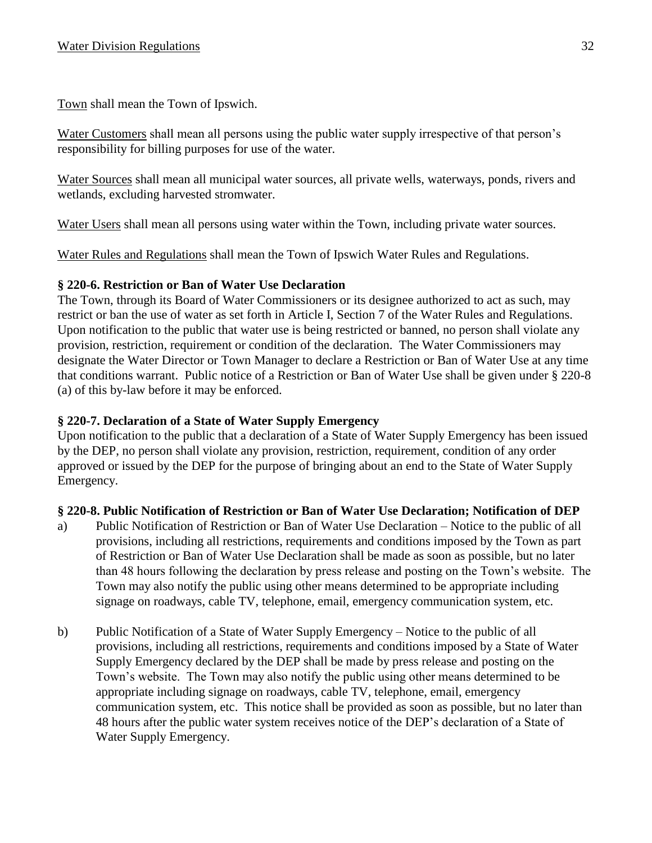Town shall mean the Town of Ipswich.

Water Customers shall mean all persons using the public water supply irrespective of that person's responsibility for billing purposes for use of the water.

Water Sources shall mean all municipal water sources, all private wells, waterways, ponds, rivers and wetlands, excluding harvested stromwater.

Water Users shall mean all persons using water within the Town, including private water sources.

Water Rules and Regulations shall mean the Town of Ipswich Water Rules and Regulations.

## **§ 220-6. Restriction or Ban of Water Use Declaration**

The Town, through its Board of Water Commissioners or its designee authorized to act as such, may restrict or ban the use of water as set forth in Article I, Section 7 of the Water Rules and Regulations. Upon notification to the public that water use is being restricted or banned, no person shall violate any provision, restriction, requirement or condition of the declaration. The Water Commissioners may designate the Water Director or Town Manager to declare a Restriction or Ban of Water Use at any time that conditions warrant. Public notice of a Restriction or Ban of Water Use shall be given under § 220-8 (a) of this by-law before it may be enforced.

## **§ 220-7. Declaration of a State of Water Supply Emergency**

Upon notification to the public that a declaration of a State of Water Supply Emergency has been issued by the DEP, no person shall violate any provision, restriction, requirement, condition of any order approved or issued by the DEP for the purpose of bringing about an end to the State of Water Supply Emergency.

#### **§ 220-8. Public Notification of Restriction or Ban of Water Use Declaration; Notification of DEP**

- a) Public Notification of Restriction or Ban of Water Use Declaration Notice to the public of all provisions, including all restrictions, requirements and conditions imposed by the Town as part of Restriction or Ban of Water Use Declaration shall be made as soon as possible, but no later than 48 hours following the declaration by press release and posting on the Town's website. The Town may also notify the public using other means determined to be appropriate including signage on roadways, cable TV, telephone, email, emergency communication system, etc.
- b) Public Notification of a State of Water Supply Emergency Notice to the public of all provisions, including all restrictions, requirements and conditions imposed by a State of Water Supply Emergency declared by the DEP shall be made by press release and posting on the Town's website. The Town may also notify the public using other means determined to be appropriate including signage on roadways, cable TV, telephone, email, emergency communication system, etc. This notice shall be provided as soon as possible, but no later than 48 hours after the public water system receives notice of the DEP's declaration of a State of Water Supply Emergency.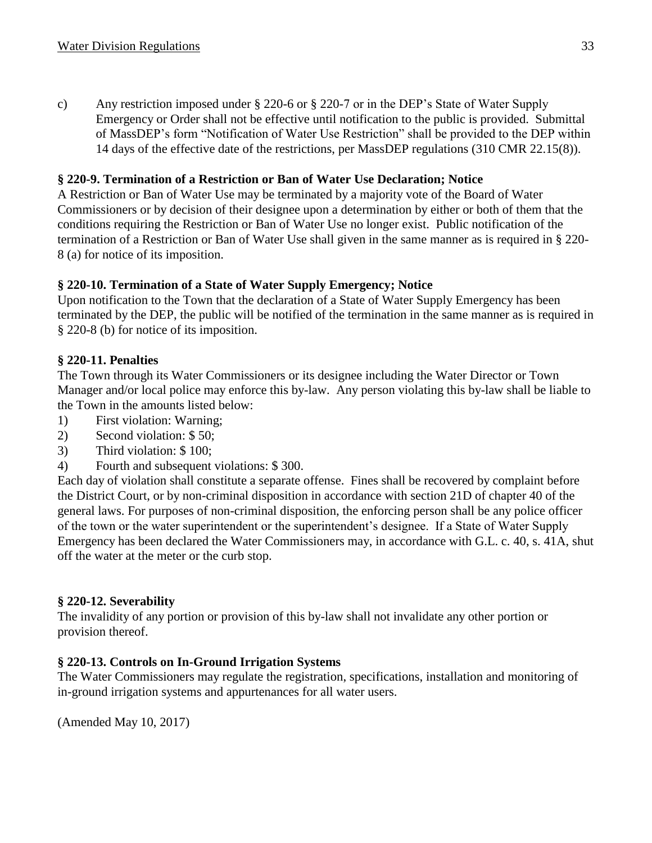c) Any restriction imposed under § 220-6 or § 220-7 or in the DEP's State of Water Supply Emergency or Order shall not be effective until notification to the public is provided. Submittal of MassDEP's form "Notification of Water Use Restriction" shall be provided to the DEP within 14 days of the effective date of the restrictions, per MassDEP regulations (310 CMR 22.15(8)).

# **§ 220-9. Termination of a Restriction or Ban of Water Use Declaration; Notice**

A Restriction or Ban of Water Use may be terminated by a majority vote of the Board of Water Commissioners or by decision of their designee upon a determination by either or both of them that the conditions requiring the Restriction or Ban of Water Use no longer exist. Public notification of the termination of a Restriction or Ban of Water Use shall given in the same manner as is required in § 220- 8 (a) for notice of its imposition.

## **§ 220-10. Termination of a State of Water Supply Emergency; Notice**

Upon notification to the Town that the declaration of a State of Water Supply Emergency has been terminated by the DEP, the public will be notified of the termination in the same manner as is required in § 220-8 (b) for notice of its imposition.

## **§ 220-11. Penalties**

The Town through its Water Commissioners or its designee including the Water Director or Town Manager and/or local police may enforce this by-law. Any person violating this by-law shall be liable to the Town in the amounts listed below:

- 1) First violation: Warning;
- 2) Second violation: \$ 50;
- 3) Third violation: \$ 100;
- 4) Fourth and subsequent violations: \$ 300.

Each day of violation shall constitute a separate offense. Fines shall be recovered by complaint before the District Court, or by non-criminal disposition in accordance with section 21D of chapter 40 of the general laws. For purposes of non-criminal disposition, the enforcing person shall be any police officer of the town or the water superintendent or the superintendent's designee. If a State of Water Supply Emergency has been declared the Water Commissioners may, in accordance with G.L. c. 40, s. 41A, shut off the water at the meter or the curb stop.

#### **§ 220-12. Severability**

The invalidity of any portion or provision of this by-law shall not invalidate any other portion or provision thereof.

#### **§ 220-13. Controls on In-Ground Irrigation Systems**

The Water Commissioners may regulate the registration, specifications, installation and monitoring of in-ground irrigation systems and appurtenances for all water users.

(Amended May 10, 2017)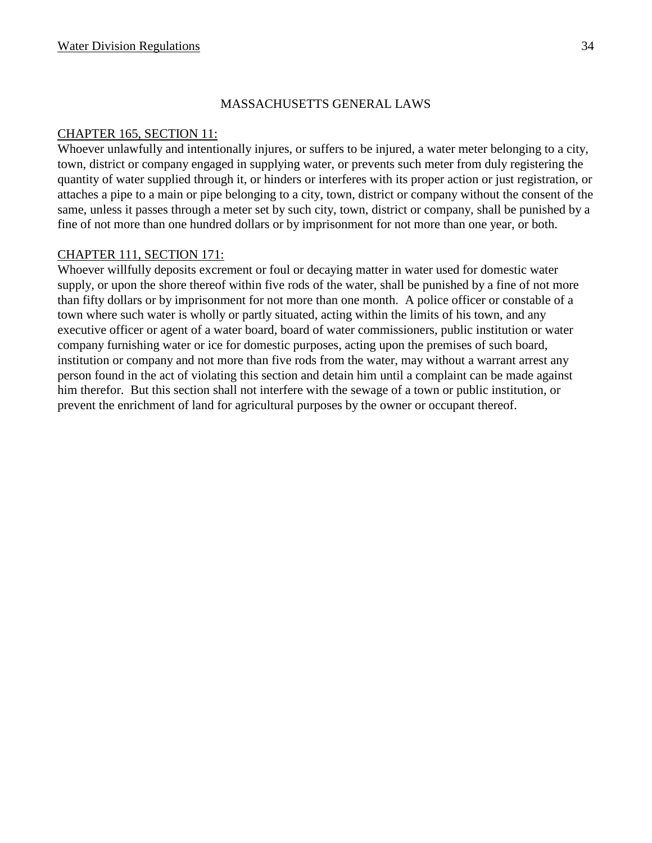#### MASSACHUSETTS GENERAL LAWS

#### CHAPTER 165, SECTION 11:

Whoever unlawfully and intentionally injures, or suffers to be injured, a water meter belonging to a city, town, district or company engaged in supplying water, or prevents such meter from duly registering the quantity of water supplied through it, or hinders or interferes with its proper action or just registration, or attaches a pipe to a main or pipe belonging to a city, town, district or company without the consent of the same, unless it passes through a meter set by such city, town, district or company, shall be punished by a fine of not more than one hundred dollars or by imprisonment for not more than one year, or both.

#### CHAPTER 111, SECTION 171:

Whoever willfully deposits excrement or foul or decaying matter in water used for domestic water supply, or upon the shore thereof within five rods of the water, shall be punished by a fine of not more than fifty dollars or by imprisonment for not more than one month. A police officer or constable of a town where such water is wholly or partly situated, acting within the limits of his town, and any executive officer or agent of a water board, board of water commissioners, public institution or water company furnishing water or ice for domestic purposes, acting upon the premises of such board, institution or company and not more than five rods from the water, may without a warrant arrest any person found in the act of violating this section and detain him until a complaint can be made against him therefor. But this section shall not interfere with the sewage of a town or public institution, or prevent the enrichment of land for agricultural purposes by the owner or occupant thereof.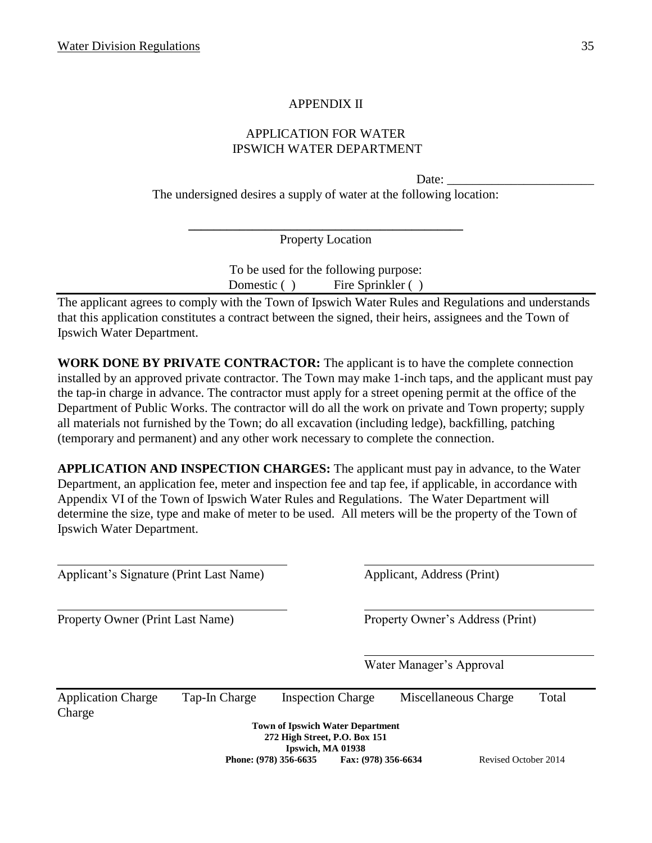## APPENDIX II

## APPLICATION FOR WATER IPSWICH WATER DEPARTMENT

Date:

The undersigned desires a supply of water at the following location:

**\_\_\_\_\_\_\_\_\_\_\_\_\_\_\_\_\_\_\_\_\_\_\_\_\_\_\_\_\_\_\_\_\_\_\_\_\_\_\_\_\_\_\_** Property Location

> To be used for the following purpose: Domestic ( ) Fire Sprinkler ( )

The applicant agrees to comply with the Town of Ipswich Water Rules and Regulations and understands that this application constitutes a contract between the signed, their heirs, assignees and the Town of Ipswich Water Department.

**WORK DONE BY PRIVATE CONTRACTOR:** The applicant is to have the complete connection installed by an approved private contractor. The Town may make 1-inch taps, and the applicant must pay the tap-in charge in advance. The contractor must apply for a street opening permit at the office of the Department of Public Works. The contractor will do all the work on private and Town property; supply all materials not furnished by the Town; do all excavation (including ledge), backfilling, patching (temporary and permanent) and any other work necessary to complete the connection.

**APPLICATION AND INSPECTION CHARGES:** The applicant must pay in advance, to the Water Department, an application fee, meter and inspection fee and tap fee, if applicable, in accordance with Appendix VI of the Town of Ipswich Water Rules and Regulations. The Water Department will determine the size, type and make of meter to be used. All meters will be the property of the Town of Ipswich Water Department.

Applicant's Signature (Print Last Name) Applicant, Address (Print) Property Owner (Print Last Name) Property Owner's Address (Print) Water Manager's Approval Application Charge Tap-In Charge Inspection Charge Miscellaneous Charge Total Charge **Town of Ipswich Water Department 272 High Street, P.O. Box 151 Ipswich, MA 01938 Phone: (978) 356-6635 Fax: (978) 356-6634** Revised October 2014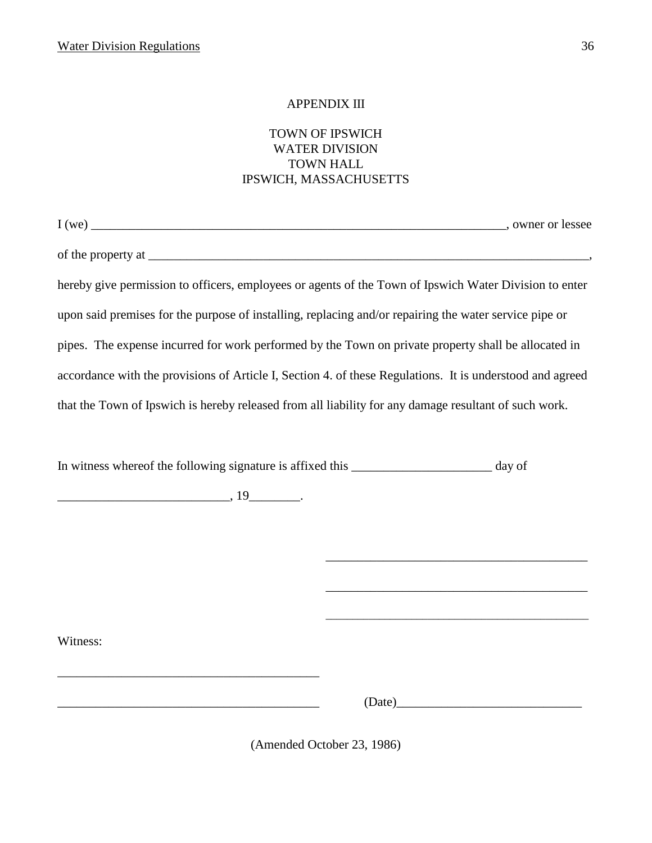#### APPENDIX III

#### TOWN OF IPSWICH WATER DIVISION TOWN HALL IPSWICH, MASSACHUSETTS

| we |
|----|

I we can also write  $\sim$  0 where or lessee

of the property at

hereby give permission to officers, employees or agents of the Town of Ipswich Water Division to enter upon said premises for the purpose of installing, replacing and/or repairing the water service pipe or pipes. The expense incurred for work performed by the Town on private property shall be allocated in accordance with the provisions of Article I, Section 4. of these Regulations. It is understood and agreed that the Town of Ipswich is hereby released from all liability for any damage resultant of such work.

In witness whereof the following signature is affixed this \_\_\_\_\_\_\_\_\_\_\_\_\_\_\_\_\_\_\_\_\_\_ day of

 $\frac{19}{19}$ .

\_\_\_\_\_\_\_\_\_\_\_\_\_\_\_\_\_\_\_\_\_\_\_\_\_\_\_\_\_\_\_\_\_\_\_\_\_\_\_\_\_

Witness:

 $(Date)$ 

\_\_\_\_\_\_\_\_\_\_\_\_\_\_\_\_\_\_\_\_\_\_\_\_\_\_\_\_\_\_\_\_\_\_\_\_\_\_\_\_\_

\_\_\_\_\_\_\_\_\_\_\_\_\_\_\_\_\_\_\_\_\_\_\_\_\_\_\_\_\_\_\_\_\_\_\_\_\_\_\_\_\_

\_\_\_\_\_\_\_\_\_\_\_\_\_\_\_\_\_\_\_\_\_\_\_\_\_\_\_\_\_\_\_\_\_\_\_\_\_\_\_\_\_\_\_\_\_\_\_\_\_

(Amended October 23, 1986)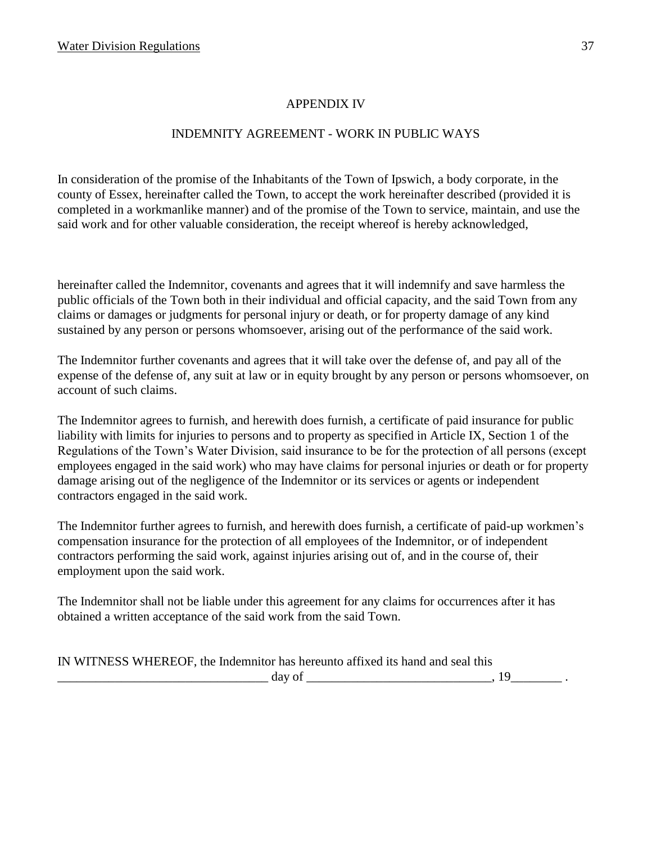#### APPENDIX IV

## INDEMNITY AGREEMENT - WORK IN PUBLIC WAYS

In consideration of the promise of the Inhabitants of the Town of Ipswich, a body corporate, in the county of Essex, hereinafter called the Town, to accept the work hereinafter described (provided it is completed in a workmanlike manner) and of the promise of the Town to service, maintain, and use the said work and for other valuable consideration, the receipt whereof is hereby acknowledged,

hereinafter called the Indemnitor, covenants and agrees that it will indemnify and save harmless the public officials of the Town both in their individual and official capacity, and the said Town from any claims or damages or judgments for personal injury or death, or for property damage of any kind sustained by any person or persons whomsoever, arising out of the performance of the said work.

The Indemnitor further covenants and agrees that it will take over the defense of, and pay all of the expense of the defense of, any suit at law or in equity brought by any person or persons whomsoever, on account of such claims.

The Indemnitor agrees to furnish, and herewith does furnish, a certificate of paid insurance for public liability with limits for injuries to persons and to property as specified in Article IX, Section 1 of the Regulations of the Town's Water Division, said insurance to be for the protection of all persons (except employees engaged in the said work) who may have claims for personal injuries or death or for property damage arising out of the negligence of the Indemnitor or its services or agents or independent contractors engaged in the said work.

The Indemnitor further agrees to furnish, and herewith does furnish, a certificate of paid-up workmen's compensation insurance for the protection of all employees of the Indemnitor, or of independent contractors performing the said work, against injuries arising out of, and in the course of, their employment upon the said work.

The Indemnitor shall not be liable under this agreement for any claims for occurrences after it has obtained a written acceptance of the said work from the said Town.

| IN WITNESS WHEREOF, the Indemnitor has hereunto affixed its hand and seal this |  |
|--------------------------------------------------------------------------------|--|
| day of                                                                         |  |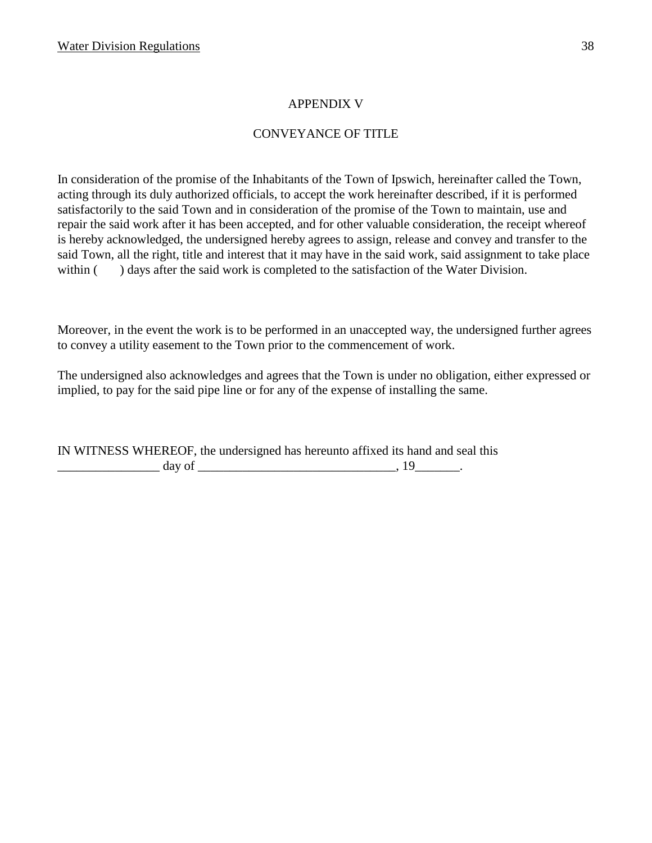#### APPENDIX V

## CONVEYANCE OF TITLE

In consideration of the promise of the Inhabitants of the Town of Ipswich, hereinafter called the Town, acting through its duly authorized officials, to accept the work hereinafter described, if it is performed satisfactorily to the said Town and in consideration of the promise of the Town to maintain, use and repair the said work after it has been accepted, and for other valuable consideration, the receipt whereof is hereby acknowledged, the undersigned hereby agrees to assign, release and convey and transfer to the said Town, all the right, title and interest that it may have in the said work, said assignment to take place within ( ) days after the said work is completed to the satisfaction of the Water Division.

Moreover, in the event the work is to be performed in an unaccepted way, the undersigned further agrees to convey a utility easement to the Town prior to the commencement of work.

The undersigned also acknowledges and agrees that the Town is under no obligation, either expressed or implied, to pay for the said pipe line or for any of the expense of installing the same.

IN WITNESS WHEREOF, the undersigned has hereunto affixed its hand and seal this  $\frac{day \text{ of }_{x} x}{x}$  and  $\frac{day \text{ of }_{x} x}{x}$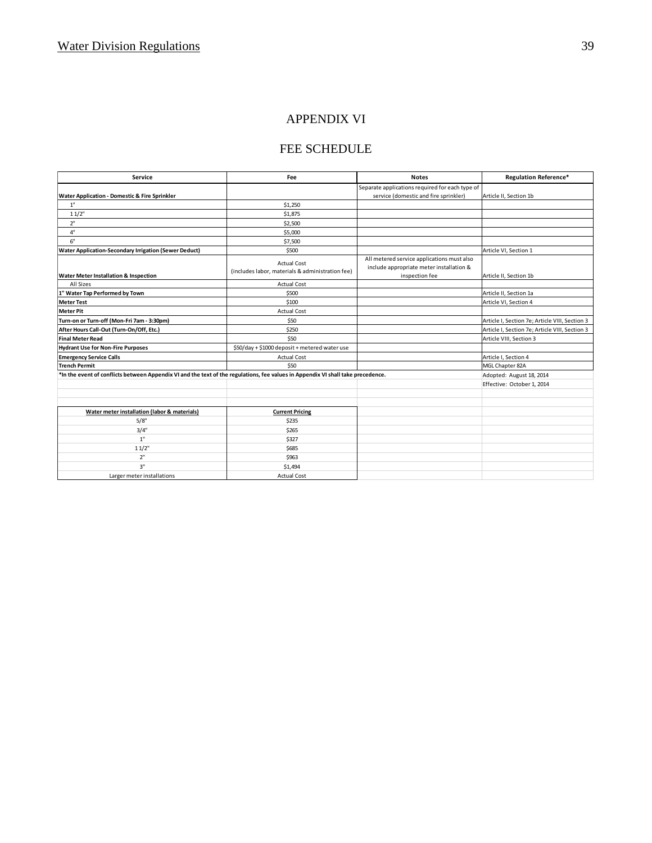#### APPENDIX VI

# FEE SCHEDULE

| <b>Service</b>                                                                                                                   | Fee                                              | <b>Notes</b>                                    | <b>Regulation Reference*</b>                   |
|----------------------------------------------------------------------------------------------------------------------------------|--------------------------------------------------|-------------------------------------------------|------------------------------------------------|
|                                                                                                                                  |                                                  | Separate applications required for each type of |                                                |
| Water Application - Domestic & Fire Sprinkler                                                                                    |                                                  | service (domestic and fire sprinkler)           | Article II, Section 1b                         |
| 1"                                                                                                                               | \$1,250                                          |                                                 |                                                |
| 11/2"                                                                                                                            | \$1,875                                          |                                                 |                                                |
| 2"                                                                                                                               | \$2,500                                          |                                                 |                                                |
| 4"                                                                                                                               | \$5,000                                          |                                                 |                                                |
| 6"                                                                                                                               | \$7,500                                          |                                                 |                                                |
| <b>Water Application-Secondary Irrigation (Sewer Deduct)</b>                                                                     | \$500                                            |                                                 | Article VI, Section 1                          |
|                                                                                                                                  | <b>Actual Cost</b>                               | All metered service applications must also      |                                                |
|                                                                                                                                  | (includes labor, materials & administration fee) | include appropriate meter installation &        |                                                |
| <b>Water Meter Installation &amp; Inspection</b>                                                                                 |                                                  | inspection fee                                  | Article II, Section 1b                         |
| All Sizes                                                                                                                        | <b>Actual Cost</b>                               |                                                 |                                                |
| 1" Water Tap Performed by Town                                                                                                   | \$500                                            |                                                 | Article II, Section 1a                         |
| <b>Meter Test</b>                                                                                                                | \$100                                            |                                                 | Article VI, Section 4                          |
| <b>Meter Pit</b>                                                                                                                 | <b>Actual Cost</b>                               |                                                 |                                                |
| Turn-on or Turn-off (Mon-Fri 7am - 3:30pm)                                                                                       | \$50                                             |                                                 | Article I, Section 7e; Article VIII, Section 3 |
| After Hours Call-Out (Turn-On/Off, Etc.)                                                                                         | \$250                                            |                                                 | Article I, Section 7e; Article VIII, Section 3 |
| <b>Final Meter Read</b>                                                                                                          | \$50                                             |                                                 | Article VIII, Section 3                        |
| <b>Hydrant Use for Non-Fire Purposes</b>                                                                                         | \$50/day + \$1000 deposit + metered water use    |                                                 |                                                |
| <b>Emergency Service Calls</b>                                                                                                   | <b>Actual Cost</b>                               |                                                 | Article I, Section 4                           |
| <b>Trench Permit</b>                                                                                                             | \$50                                             |                                                 | MGL Chapter 82A                                |
| *In the event of conflicts between Appendix VI and the text of the regulations, fee values in Appendix VI shall take precedence. |                                                  |                                                 | Adopted: August 18, 2014                       |
|                                                                                                                                  |                                                  |                                                 | Effective: October 1, 2014                     |
|                                                                                                                                  |                                                  |                                                 |                                                |
|                                                                                                                                  |                                                  |                                                 |                                                |
| Water meter installation (labor & materials)                                                                                     | <b>Current Pricing</b>                           |                                                 |                                                |
| 5/8"                                                                                                                             | \$235                                            |                                                 |                                                |
| 3/4"                                                                                                                             | \$265                                            |                                                 |                                                |
| 1"                                                                                                                               | \$327                                            |                                                 |                                                |
| 11/2"                                                                                                                            | \$685                                            |                                                 |                                                |
| 2"                                                                                                                               | \$963                                            |                                                 |                                                |
| 3"                                                                                                                               | \$1,494                                          |                                                 |                                                |
| Larger meter installations                                                                                                       | <b>Actual Cost</b>                               |                                                 |                                                |
|                                                                                                                                  |                                                  |                                                 |                                                |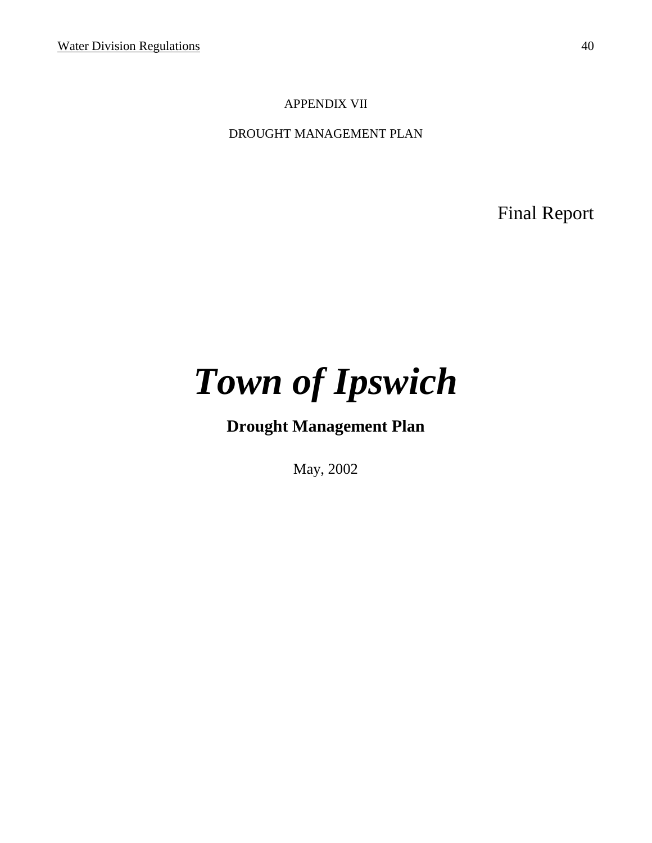## APPENDIX VII

DROUGHT MANAGEMENT PLAN

Final Report

# *Town of Ipswich*

**Drought Management Plan**

May, 2002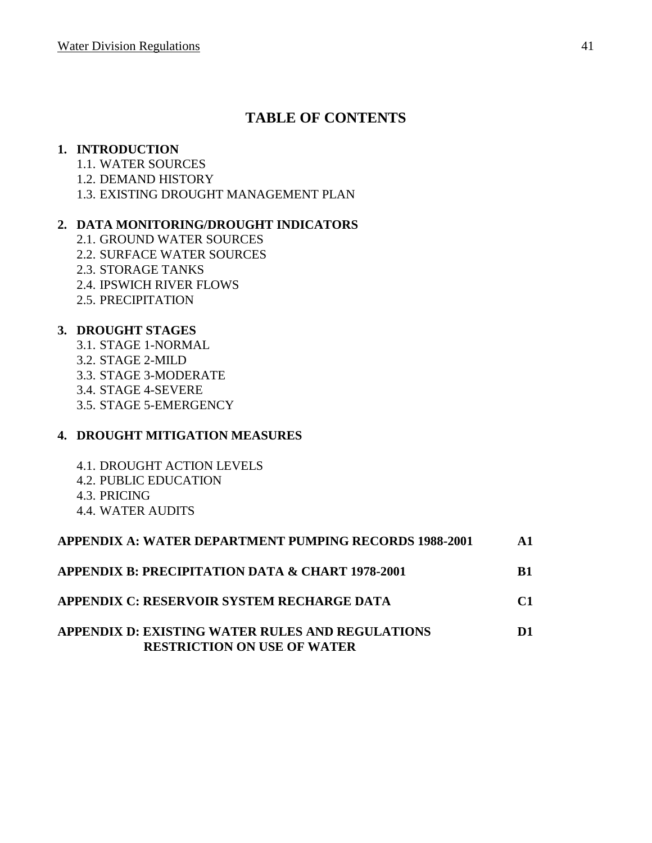# **TABLE OF CONTENTS**

#### **1. INTRODUCTION**

- 1.1. WATER SOURCES
- 1.2. DEMAND HISTORY
- 1.3. EXISTING DROUGHT MANAGEMENT PLAN

## **2. DATA MONITORING/DROUGHT INDICATORS**

- 2.1. GROUND WATER SOURCES
- 2.2. SURFACE WATER SOURCES
- 2.3. STORAGE TANKS
- 2.4. IPSWICH RIVER FLOWS
- 2.5. PRECIPITATION

## **3. DROUGHT STAGES**

- 3.1. STAGE 1-NORMAL
- 3.2. STAGE 2-MILD
- 3.3. STAGE 3-MODERATE
- 3.4. STAGE 4-SEVERE
- 3.5. STAGE 5-EMERGENCY

# **4. DROUGHT MITIGATION MEASURES**

- 4.1. DROUGHT ACTION LEVELS
- 4.2. PUBLIC EDUCATION
- 4.3. PRICING
- 4.4. WATER AUDITS

| <b>APPENDIX A: WATER DEPARTMENT PUMPING RECORDS 1988-2001</b>                                 | $\mathbf{A}$ 1 |
|-----------------------------------------------------------------------------------------------|----------------|
| <b>APPENDIX B: PRECIPITATION DATA &amp; CHART 1978-2001</b>                                   | <b>B</b> 1     |
| APPENDIX C: RESERVOIR SYSTEM RECHARGE DATA                                                    | $\mathbf{C}$ 1 |
| <b>APPENDIX D: EXISTING WATER RULES AND REGULATIONS</b><br><b>RESTRICTION ON USE OF WATER</b> | D1             |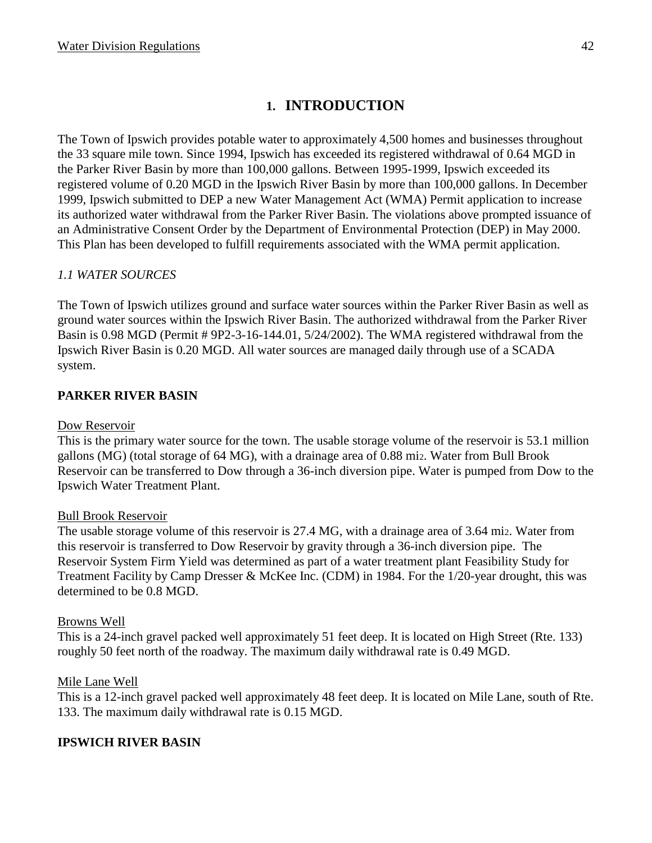# **1. INTRODUCTION**

The Town of Ipswich provides potable water to approximately 4,500 homes and businesses throughout the 33 square mile town. Since 1994, Ipswich has exceeded its registered withdrawal of 0.64 MGD in the Parker River Basin by more than 100,000 gallons. Between 1995-1999, Ipswich exceeded its registered volume of 0.20 MGD in the Ipswich River Basin by more than 100,000 gallons. In December 1999, Ipswich submitted to DEP a new Water Management Act (WMA) Permit application to increase its authorized water withdrawal from the Parker River Basin. The violations above prompted issuance of an Administrative Consent Order by the Department of Environmental Protection (DEP) in May 2000. This Plan has been developed to fulfill requirements associated with the WMA permit application.

# *1.1 WATER SOURCES*

The Town of Ipswich utilizes ground and surface water sources within the Parker River Basin as well as ground water sources within the Ipswich River Basin. The authorized withdrawal from the Parker River Basin is 0.98 MGD (Permit # 9P2-3-16-144.01, 5/24/2002). The WMA registered withdrawal from the Ipswich River Basin is 0.20 MGD. All water sources are managed daily through use of a SCADA system.

# **PARKER RIVER BASIN**

#### Dow Reservoir

This is the primary water source for the town. The usable storage volume of the reservoir is 53.1 million gallons (MG) (total storage of 64 MG), with a drainage area of 0.88 mi2. Water from Bull Brook Reservoir can be transferred to Dow through a 36-inch diversion pipe. Water is pumped from Dow to the Ipswich Water Treatment Plant.

#### Bull Brook Reservoir

The usable storage volume of this reservoir is 27.4 MG, with a drainage area of 3.64 mi2. Water from this reservoir is transferred to Dow Reservoir by gravity through a 36-inch diversion pipe. The Reservoir System Firm Yield was determined as part of a water treatment plant Feasibility Study for Treatment Facility by Camp Dresser & McKee Inc. (CDM) in 1984. For the 1/20-year drought, this was determined to be 0.8 MGD.

#### Browns Well

This is a 24-inch gravel packed well approximately 51 feet deep. It is located on High Street (Rte. 133) roughly 50 feet north of the roadway. The maximum daily withdrawal rate is 0.49 MGD.

#### Mile Lane Well

This is a 12-inch gravel packed well approximately 48 feet deep. It is located on Mile Lane, south of Rte. 133. The maximum daily withdrawal rate is 0.15 MGD.

#### **IPSWICH RIVER BASIN**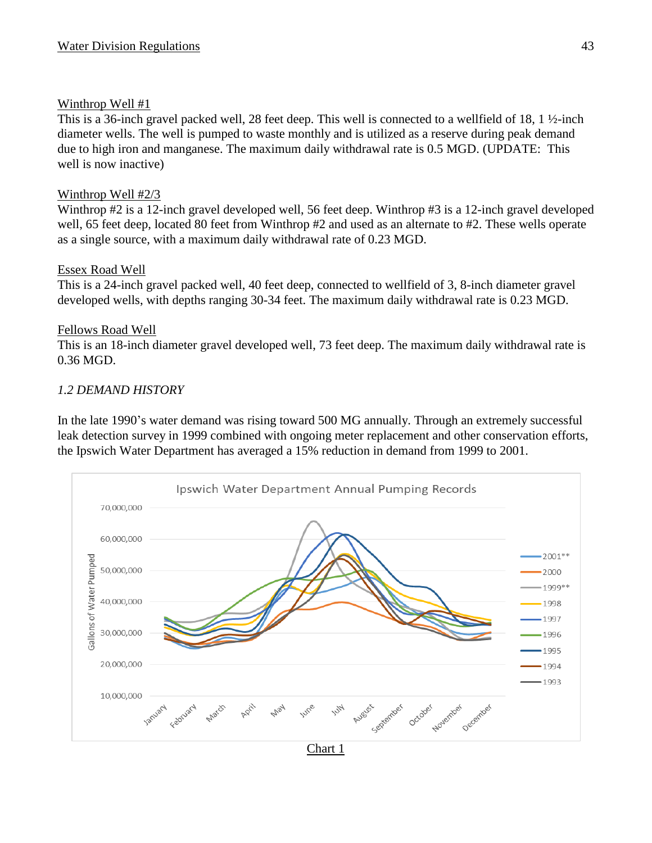## Winthrop Well #1

This is a 36-inch gravel packed well, 28 feet deep. This well is connected to a wellfield of 18, 1  $\frac{1}{2}$ -inch diameter wells. The well is pumped to waste monthly and is utilized as a reserve during peak demand due to high iron and manganese. The maximum daily withdrawal rate is 0.5 MGD. (UPDATE: This well is now inactive)

## Winthrop Well #2/3

Winthrop #2 is a 12-inch gravel developed well, 56 feet deep. Winthrop #3 is a 12-inch gravel developed well, 65 feet deep, located 80 feet from Winthrop #2 and used as an alternate to #2. These wells operate as a single source, with a maximum daily withdrawal rate of 0.23 MGD.

#### Essex Road Well

This is a 24-inch gravel packed well, 40 feet deep, connected to wellfield of 3, 8-inch diameter gravel developed wells, with depths ranging 30-34 feet. The maximum daily withdrawal rate is 0.23 MGD.

## Fellows Road Well

This is an 18-inch diameter gravel developed well, 73 feet deep. The maximum daily withdrawal rate is 0.36 MGD.

## *1.2 DEMAND HISTORY*

In the late 1990's water demand was rising toward 500 MG annually. Through an extremely successful leak detection survey in 1999 combined with ongoing meter replacement and other conservation efforts, the Ipswich Water Department has averaged a 15% reduction in demand from 1999 to 2001.

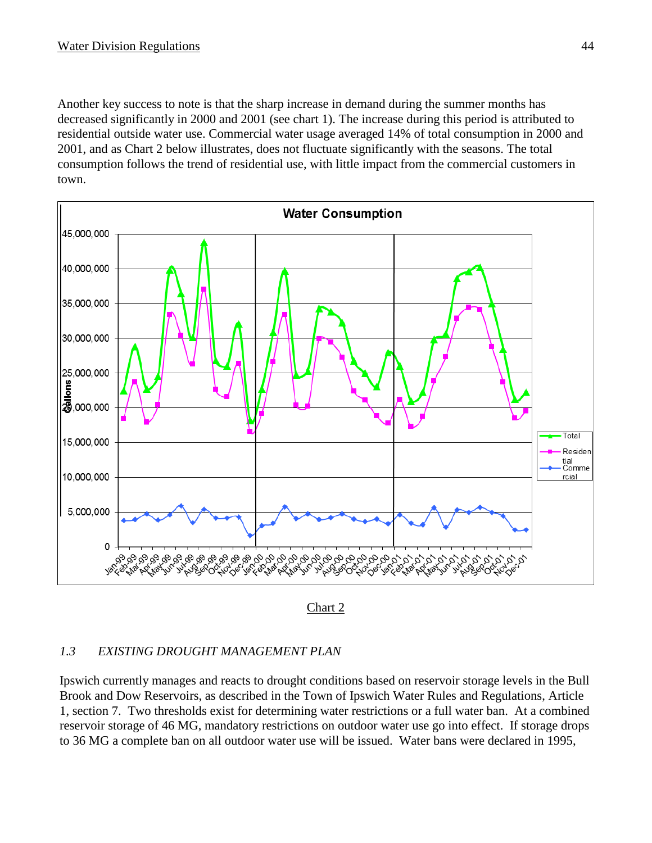Another key success to note is that the sharp increase in demand during the summer months has decreased significantly in 2000 and 2001 (see chart 1). The increase during this period is attributed to residential outside water use. Commercial water usage averaged 14% of total consumption in 2000 and 2001, and as Chart 2 below illustrates, does not fluctuate significantly with the seasons. The total consumption follows the trend of residential use, with little impact from the commercial customers in town.



Chart 2

#### *1.3 EXISTING DROUGHT MANAGEMENT PLAN*

Ipswich currently manages and reacts to drought conditions based on reservoir storage levels in the Bull Brook and Dow Reservoirs, as described in the Town of Ipswich Water Rules and Regulations, Article 1, section 7. Two thresholds exist for determining water restrictions or a full water ban. At a combined reservoir storage of 46 MG, mandatory restrictions on outdoor water use go into effect. If storage drops to 36 MG a complete ban on all outdoor water use will be issued. Water bans were declared in 1995,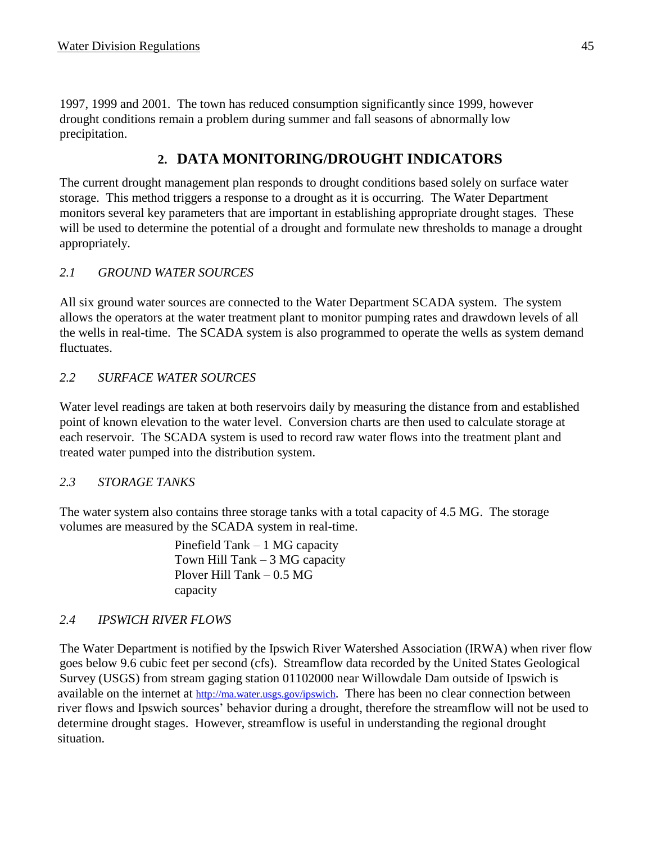1997, 1999 and 2001. The town has reduced consumption significantly since 1999, however drought conditions remain a problem during summer and fall seasons of abnormally low precipitation.

# **2. DATA MONITORING/DROUGHT INDICATORS**

The current drought management plan responds to drought conditions based solely on surface water storage. This method triggers a response to a drought as it is occurring. The Water Department monitors several key parameters that are important in establishing appropriate drought stages. These will be used to determine the potential of a drought and formulate new thresholds to manage a drought appropriately.

# *2.1 GROUND WATER SOURCES*

All six ground water sources are connected to the Water Department SCADA system. The system allows the operators at the water treatment plant to monitor pumping rates and drawdown levels of all the wells in real-time. The SCADA system is also programmed to operate the wells as system demand fluctuates.

# *2.2 SURFACE WATER SOURCES*

Water level readings are taken at both reservoirs daily by measuring the distance from and established point of known elevation to the water level. Conversion charts are then used to calculate storage at each reservoir. The SCADA system is used to record raw water flows into the treatment plant and treated water pumped into the distribution system.

# *2.3 STORAGE TANKS*

The water system also contains three storage tanks with a total capacity of 4.5 MG. The storage volumes are measured by the SCADA system in real-time.

> Pinefield Tank – 1 MG capacity Town Hill Tank – 3 MG capacity Plover Hill Tank – 0.5 MG capacity

# *2.4 IPSWICH RIVER FLOWS*

The Water Department is notified by the Ipswich River Watershed Association (IRWA) when river flow goes below 9.6 cubic feet per second (cfs). Streamflow data recorded by the United States Geological Survey (USGS) from stream gaging station 01102000 near Willowdale Dam outside of Ipswich is available on the internet at <http://ma.water.usgs.gov/ipswich>. There has been no clear connection between river flows and Ipswich sources' behavior during a drought, therefore the streamflow will not be used to determine drought stages. However, streamflow is useful in understanding the regional drought situation.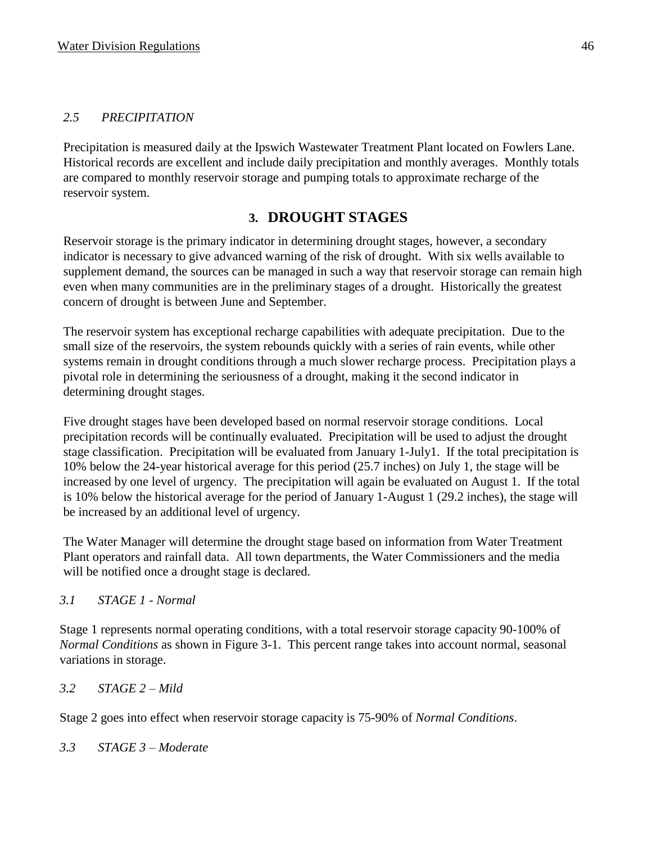## *2.5 PRECIPITATION*

Precipitation is measured daily at the Ipswich Wastewater Treatment Plant located on Fowlers Lane. Historical records are excellent and include daily precipitation and monthly averages. Monthly totals are compared to monthly reservoir storage and pumping totals to approximate recharge of the reservoir system.

# **3. DROUGHT STAGES**

Reservoir storage is the primary indicator in determining drought stages, however, a secondary indicator is necessary to give advanced warning of the risk of drought. With six wells available to supplement demand, the sources can be managed in such a way that reservoir storage can remain high even when many communities are in the preliminary stages of a drought. Historically the greatest concern of drought is between June and September.

The reservoir system has exceptional recharge capabilities with adequate precipitation. Due to the small size of the reservoirs, the system rebounds quickly with a series of rain events, while other systems remain in drought conditions through a much slower recharge process. Precipitation plays a pivotal role in determining the seriousness of a drought, making it the second indicator in determining drought stages.

Five drought stages have been developed based on normal reservoir storage conditions. Local precipitation records will be continually evaluated. Precipitation will be used to adjust the drought stage classification. Precipitation will be evaluated from January 1-July1. If the total precipitation is 10% below the 24-year historical average for this period (25.7 inches) on July 1, the stage will be increased by one level of urgency. The precipitation will again be evaluated on August 1. If the total is 10% below the historical average for the period of January 1-August 1 (29.2 inches), the stage will be increased by an additional level of urgency.

The Water Manager will determine the drought stage based on information from Water Treatment Plant operators and rainfall data. All town departments, the Water Commissioners and the media will be notified once a drought stage is declared.

# *3.1 STAGE 1 - Normal*

Stage 1 represents normal operating conditions, with a total reservoir storage capacity 90-100% of *Normal Conditions* as shown in Figure 3-1. This percent range takes into account normal, seasonal variations in storage.

# *3.2 STAGE 2 – Mild*

Stage 2 goes into effect when reservoir storage capacity is 75-90% of *Normal Conditions*.

*3.3 STAGE 3 – Moderate*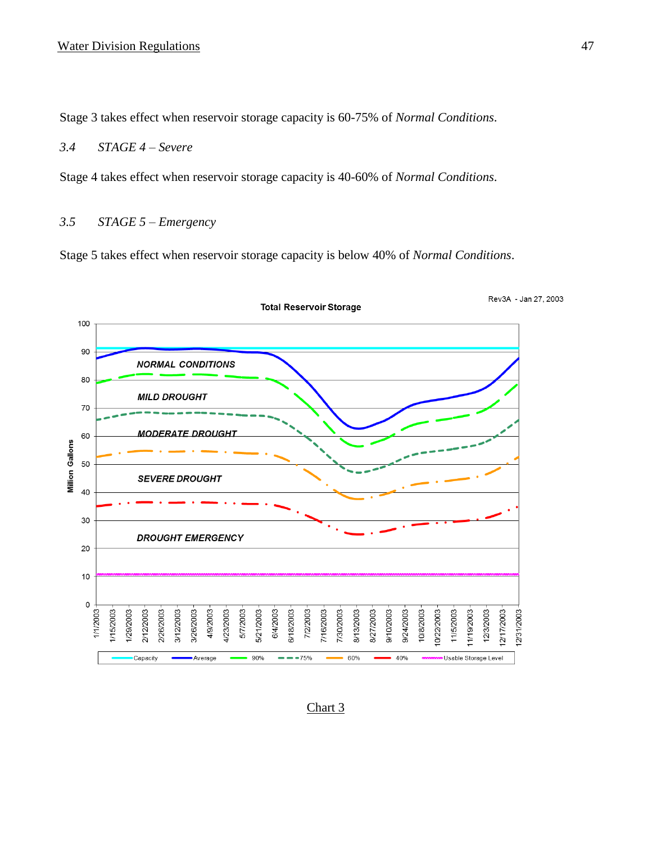Stage 3 takes effect when reservoir storage capacity is 60-75% of *Normal Conditions*.

#### *3.4 STAGE 4 – Severe*

Stage 4 takes effect when reservoir storage capacity is 40-60% of *Normal Conditions*.

## *3.5 STAGE 5 – Emergency*

Stage 5 takes effect when reservoir storage capacity is below 40% of *Normal Conditions*.



#### Chart 3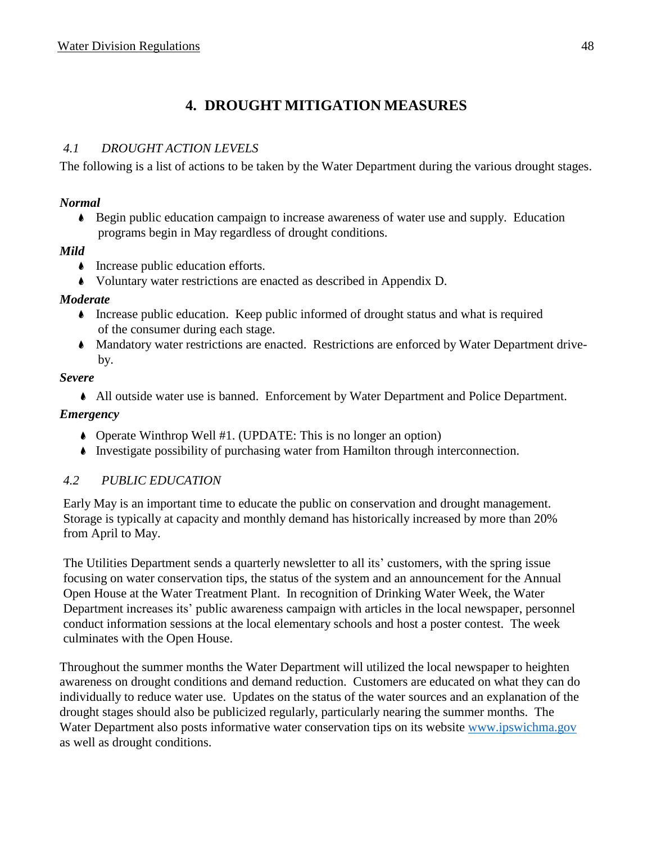# **4. DROUGHT MITIGATION MEASURES**

## *4.1 DROUGHT ACTION LEVELS*

The following is a list of actions to be taken by the Water Department during the various drought stages.

#### *Normal*

 $\bullet$  Begin public education campaign to increase awareness of water use and supply. Education programs begin in May regardless of drought conditions.

#### *Mild*

- Increase public education efforts.
- 9 Voluntary water restrictions are enacted as described in Appendix D.

#### *Moderate*

- 9 Increase public education. Keep public informed of drought status and what is required of the consumer during each stage.
- 9 Mandatory water restrictions are enacted. Restrictions are enforced by Water Department driveby.

#### *Severe*

9 All outside water use is banned. Enforcement by Water Department and Police Department.

#### *Emergency*

- 9 Operate Winthrop Well #1. (UPDATE: This is no longer an option)
- 9 Investigate possibility of purchasing water from Hamilton through interconnection.

#### *4.2 PUBLIC EDUCATION*

Early May is an important time to educate the public on conservation and drought management. Storage is typically at capacity and monthly demand has historically increased by more than 20% from April to May.

The Utilities Department sends a quarterly newsletter to all its' customers, with the spring issue focusing on water conservation tips, the status of the system and an announcement for the Annual Open House at the Water Treatment Plant. In recognition of Drinking Water Week, the Water Department increases its' public awareness campaign with articles in the local newspaper, personnel conduct information sessions at the local elementary schools and host a poster contest. The week culminates with the Open House.

Throughout the summer months the Water Department will utilized the local newspaper to heighten awareness on drought conditions and demand reduction. Customers are educated on what they can do individually to reduce water use. Updates on the status of the water sources and an explanation of the drought stages should also be publicized regularly, particularly nearing the summer months. The Water Department also posts informative water conservation tips on its website [www.ipswichma.gov](http://www.ipswichma.gov/) as well as drought conditions.